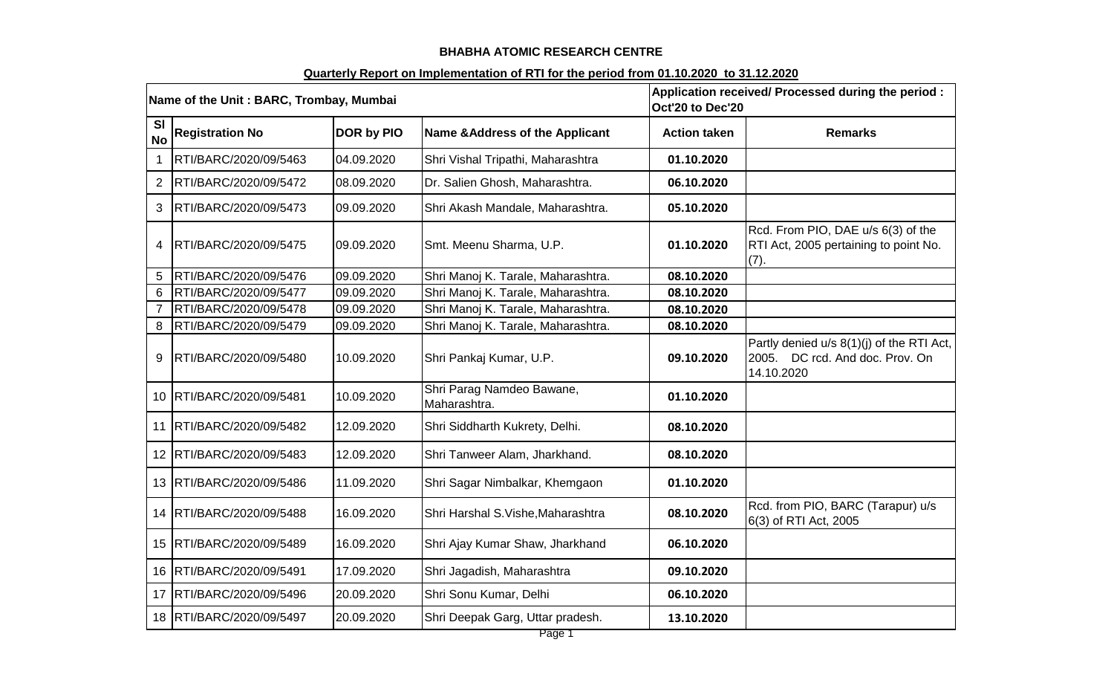### **BHABHA ATOMIC RESEARCH CENTRE**

### **Quarterly Report on Implementation of RTI for the period from 01.10.2020 to 31.12.2020**

| Name of the Unit: BARC, Trombay, Mumbai |                            |            | Application received/ Processed during the period :<br>Oct'20 to Dec'20 |                     |                                                                                            |
|-----------------------------------------|----------------------------|------------|-------------------------------------------------------------------------|---------------------|--------------------------------------------------------------------------------------------|
| <b>SI</b><br><b>No</b>                  | <b>Registration No</b>     | DOR by PIO | Name & Address of the Applicant                                         | <b>Action taken</b> | <b>Remarks</b>                                                                             |
| $\mathbf 1$                             | RTI/BARC/2020/09/5463      | 04.09.2020 | Shri Vishal Tripathi, Maharashtra                                       | 01.10.2020          |                                                                                            |
| $\overline{2}$                          | RTI/BARC/2020/09/5472      | 08.09.2020 | Dr. Salien Ghosh, Maharashtra.                                          | 06.10.2020          |                                                                                            |
| 3                                       | RTI/BARC/2020/09/5473      | 09.09.2020 | Shri Akash Mandale, Maharashtra.                                        | 05.10.2020          |                                                                                            |
| 4                                       | RTI/BARC/2020/09/5475      | 09.09.2020 | Smt. Meenu Sharma, U.P.                                                 | 01.10.2020          | Rcd. From PIO, DAE u/s 6(3) of the<br>RTI Act, 2005 pertaining to point No.<br>(7).        |
| 5                                       | RTI/BARC/2020/09/5476      | 09.09.2020 | Shri Manoj K. Tarale, Maharashtra.                                      | 08.10.2020          |                                                                                            |
| 6                                       | RTI/BARC/2020/09/5477      | 09.09.2020 | Shri Manoj K. Tarale, Maharashtra.                                      | 08.10.2020          |                                                                                            |
| $\overline{7}$                          | RTI/BARC/2020/09/5478      | 09.09.2020 | Shri Manoj K. Tarale, Maharashtra.                                      | 08.10.2020          |                                                                                            |
| 8                                       | RTI/BARC/2020/09/5479      | 09.09.2020 | Shri Manoj K. Tarale, Maharashtra.                                      | 08.10.2020          |                                                                                            |
| 9                                       | RTI/BARC/2020/09/5480      | 10.09.2020 | Shri Pankaj Kumar, U.P.                                                 | 09.10.2020          | Partly denied u/s 8(1)(j) of the RTI Act,<br>2005. DC rcd. And doc. Prov. On<br>14.10.2020 |
|                                         | 10   RTI/BARC/2020/09/5481 | 10.09.2020 | Shri Parag Namdeo Bawane,<br>Maharashtra.                               | 01.10.2020          |                                                                                            |
| 11                                      | RTI/BARC/2020/09/5482      | 12.09.2020 | Shri Siddharth Kukrety, Delhi.                                          | 08.10.2020          |                                                                                            |
| 12                                      | RTI/BARC/2020/09/5483      | 12.09.2020 | Shri Tanweer Alam, Jharkhand.                                           | 08.10.2020          |                                                                                            |
| 13                                      | RTI/BARC/2020/09/5486      | 11.09.2020 | Shri Sagar Nimbalkar, Khemgaon                                          | 01.10.2020          |                                                                                            |
|                                         | 14   RTI/BARC/2020/09/5488 | 16.09.2020 | Shri Harshal S.Vishe, Maharashtra                                       | 08.10.2020          | Rcd. from PIO, BARC (Tarapur) u/s<br>6(3) of RTI Act, 2005                                 |
|                                         | 15   RTI/BARC/2020/09/5489 | 16.09.2020 | Shri Ajay Kumar Shaw, Jharkhand                                         | 06.10.2020          |                                                                                            |
| 16                                      | RTI/BARC/2020/09/5491      | 17.09.2020 | Shri Jagadish, Maharashtra                                              | 09.10.2020          |                                                                                            |
| 17                                      | RTI/BARC/2020/09/5496      | 20.09.2020 | Shri Sonu Kumar, Delhi                                                  | 06.10.2020          |                                                                                            |
| 18                                      | RTI/BARC/2020/09/5497      | 20.09.2020 | Shri Deepak Garg, Uttar pradesh.                                        | 13.10.2020          |                                                                                            |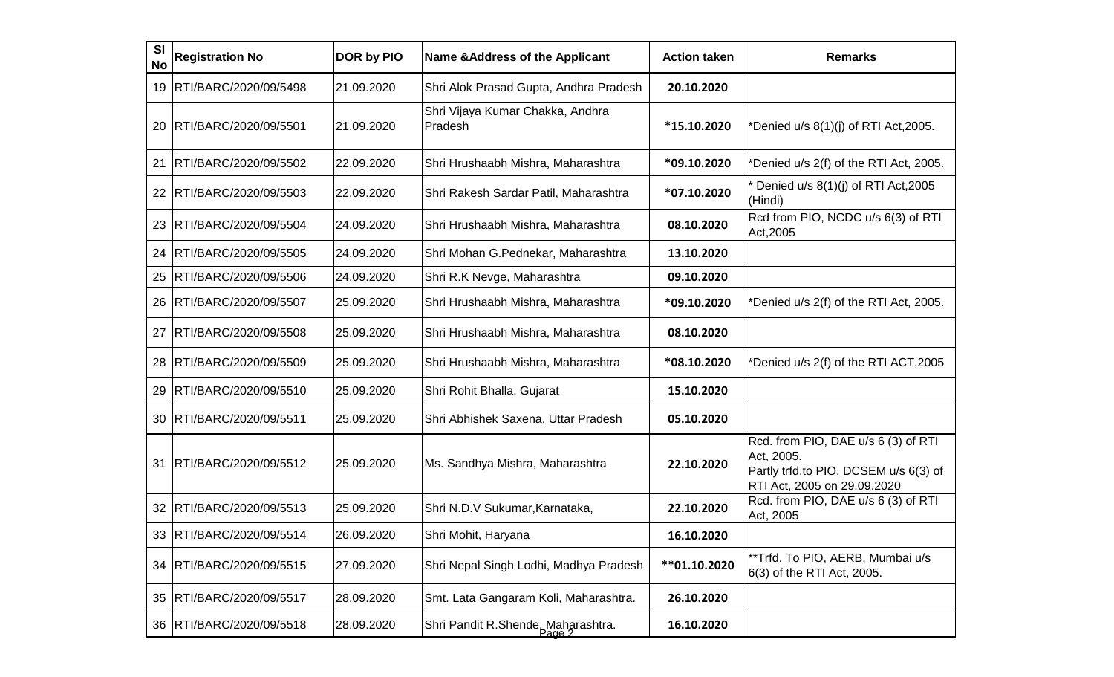| SI<br><b>No</b> | <b>Registration No</b>     | DOR by PIO | <b>Name &amp; Address of the Applicant</b>  | <b>Action taken</b> | <b>Remarks</b>                                                                                                            |
|-----------------|----------------------------|------------|---------------------------------------------|---------------------|---------------------------------------------------------------------------------------------------------------------------|
| 19              | RTI/BARC/2020/09/5498      | 21.09.2020 | Shri Alok Prasad Gupta, Andhra Pradesh      | 20.10.2020          |                                                                                                                           |
| 20              | RTI/BARC/2020/09/5501      | 21.09.2020 | Shri Vijaya Kumar Chakka, Andhra<br>Pradesh | *15.10.2020         | *Denied u/s 8(1)(j) of RTI Act,2005.                                                                                      |
| 21              | RTI/BARC/2020/09/5502      | 22.09.2020 | Shri Hrushaabh Mishra, Maharashtra          | *09.10.2020         | *Denied u/s 2(f) of the RTI Act, 2005.                                                                                    |
| 22              | RTI/BARC/2020/09/5503      | 22.09.2020 | Shri Rakesh Sardar Patil, Maharashtra       | *07.10.2020         | Denied u/s 8(1)(j) of RTI Act, 2005<br>(Hindi)                                                                            |
| 23              | RTI/BARC/2020/09/5504      | 24.09.2020 | Shri Hrushaabh Mishra, Maharashtra          | 08.10.2020          | Rcd from PIO, NCDC u/s 6(3) of RTI<br>Act, 2005                                                                           |
| 24              | RTI/BARC/2020/09/5505      | 24.09.2020 | Shri Mohan G.Pednekar, Maharashtra          | 13.10.2020          |                                                                                                                           |
| 25              | RTI/BARC/2020/09/5506      | 24.09.2020 | Shri R.K Nevge, Maharashtra                 | 09.10.2020          |                                                                                                                           |
| 26              | RTI/BARC/2020/09/5507      | 25.09.2020 | Shri Hrushaabh Mishra, Maharashtra          | *09.10.2020         | *Denied u/s 2(f) of the RTI Act, 2005.                                                                                    |
| 27              | RTI/BARC/2020/09/5508      | 25.09.2020 | Shri Hrushaabh Mishra, Maharashtra          | 08.10.2020          |                                                                                                                           |
| 28              | RTI/BARC/2020/09/5509      | 25.09.2020 | Shri Hrushaabh Mishra, Maharashtra          | *08.10.2020         | *Denied u/s 2(f) of the RTI ACT,2005                                                                                      |
| 29              | RTI/BARC/2020/09/5510      | 25.09.2020 | Shri Rohit Bhalla, Gujarat                  | 15.10.2020          |                                                                                                                           |
| 30              | RTI/BARC/2020/09/5511      | 25.09.2020 | Shri Abhishek Saxena, Uttar Pradesh         | 05.10.2020          |                                                                                                                           |
| 31              | RTI/BARC/2020/09/5512      | 25.09.2020 | Ms. Sandhya Mishra, Maharashtra             | 22.10.2020          | Rcd. from PIO, DAE u/s 6 (3) of RTI<br>Act, 2005.<br>Partly trfd.to PIO, DCSEM u/s 6(3) of<br>RTI Act, 2005 on 29.09.2020 |
| 32              | RTI/BARC/2020/09/5513      | 25.09.2020 | Shri N.D.V Sukumar, Karnataka,              | 22.10.2020          | Rcd. from PIO, DAE u/s 6 (3) of RTI<br>Act, 2005                                                                          |
|                 | 33  RTI/BARC/2020/09/5514  | 26.09.2020 | Shri Mohit, Haryana                         | 16.10.2020          |                                                                                                                           |
|                 | 34   RTI/BARC/2020/09/5515 | 27.09.2020 | Shri Nepal Singh Lodhi, Madhya Pradesh      | ** 01.10.2020       | **Trfd. To PIO, AERB, Mumbai u/s<br>6(3) of the RTI Act, 2005.                                                            |
| 35              | RTI/BARC/2020/09/5517      | 28.09.2020 | Smt. Lata Gangaram Koli, Maharashtra.       | 26.10.2020          |                                                                                                                           |
|                 | 36   RTI/BARC/2020/09/5518 | 28.09.2020 | Shri Pandit R.Shende, Maharashtra.          | 16.10.2020          |                                                                                                                           |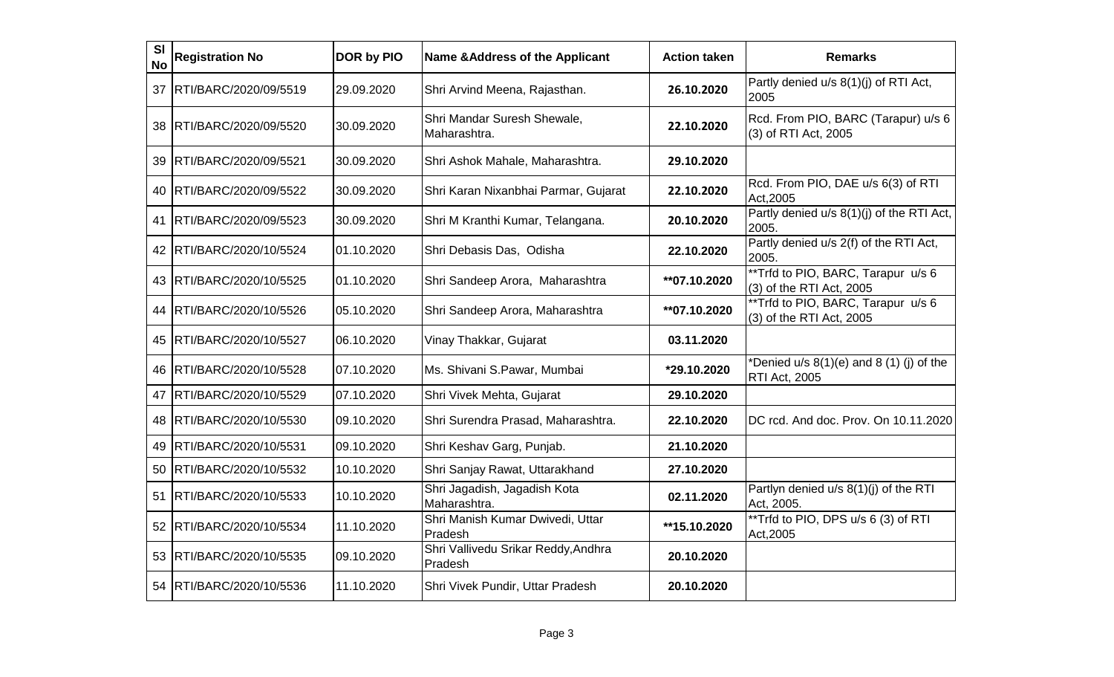| <b>SI</b><br><b>No</b> | <b>Registration No</b>     | <b>DOR by PIO</b> | <b>Name &amp; Address of the Applicant</b>     | <b>Action taken</b> | <b>Remarks</b>                                                     |
|------------------------|----------------------------|-------------------|------------------------------------------------|---------------------|--------------------------------------------------------------------|
| 37                     | RTI/BARC/2020/09/5519      | 29.09.2020        | Shri Arvind Meena, Rajasthan.                  | 26.10.2020          | Partly denied u/s 8(1)(j) of RTI Act,<br>2005                      |
| 38                     | RTI/BARC/2020/09/5520      | 30.09.2020        | Shri Mandar Suresh Shewale,<br>Maharashtra.    | 22.10.2020          | Rcd. From PIO, BARC (Tarapur) u/s 6<br>(3) of RTI Act, 2005        |
| 39                     | RTI/BARC/2020/09/5521      | 30.09.2020        | Shri Ashok Mahale, Maharashtra.                | 29.10.2020          |                                                                    |
| 40 I                   | RTI/BARC/2020/09/5522      | 30.09.2020        | Shri Karan Nixanbhai Parmar, Gujarat           | 22.10.2020          | Rcd. From PIO, DAE u/s 6(3) of RTI<br>Act, 2005                    |
| 41                     | RTI/BARC/2020/09/5523      | 30.09.2020        | Shri M Kranthi Kumar, Telangana.               | 20.10.2020          | Partly denied u/s 8(1)(j) of the RTI Act,<br>2005.                 |
| 42 I                   | RTI/BARC/2020/10/5524      | 01.10.2020        | Shri Debasis Das, Odisha                       | 22.10.2020          | Partly denied u/s 2(f) of the RTI Act,<br>2005.                    |
|                        | 43   RTI/BARC/2020/10/5525 | 01.10.2020        | Shri Sandeep Arora, Maharashtra                | **07.10.2020        | **Trfd to PIO, BARC, Tarapur u/s 6<br>$(3)$ of the RTI Act, 2005   |
| 44                     | RTI/BARC/2020/10/5526      | 05.10.2020        | Shri Sandeep Arora, Maharashtra                | **07.10.2020        | **Trfd to PIO, BARC, Tarapur u/s 6<br>(3) of the RTI Act, 2005     |
| 45                     | RTI/BARC/2020/10/5527      | 06.10.2020        | Vinay Thakkar, Gujarat                         | 03.11.2020          |                                                                    |
| 46                     | RTI/BARC/2020/10/5528      | 07.10.2020        | Ms. Shivani S.Pawar, Mumbai                    | *29.10.2020         | *Denied $u/s$ 8(1)(e) and 8 (1) (j) of the<br><b>RTI Act, 2005</b> |
| 47                     | RTI/BARC/2020/10/5529      | 07.10.2020        | Shri Vivek Mehta, Gujarat                      | 29.10.2020          |                                                                    |
| 48                     | RTI/BARC/2020/10/5530      | 09.10.2020        | Shri Surendra Prasad, Maharashtra.             | 22.10.2020          | DC rcd. And doc. Prov. On 10.11.2020                               |
| 49                     | RTI/BARC/2020/10/5531      | 09.10.2020        | Shri Keshav Garg, Punjab.                      | 21.10.2020          |                                                                    |
|                        | 50   RTI/BARC/2020/10/5532 | 10.10.2020        | Shri Sanjay Rawat, Uttarakhand                 | 27.10.2020          |                                                                    |
| 51                     | RTI/BARC/2020/10/5533      | 10.10.2020        | Shri Jagadish, Jagadish Kota<br>Maharashtra.   | 02.11.2020          | Partlyn denied u/s 8(1)(j) of the RTI<br>Act, 2005.                |
| 52                     | RTI/BARC/2020/10/5534      | 11.10.2020        | Shri Manish Kumar Dwivedi, Uttar<br>Pradesh    | **15.10.2020        | **Trfd to PIO, DPS u/s 6 (3) of RTI<br>Act, 2005                   |
| 53                     | RTI/BARC/2020/10/5535      | 09.10.2020        | Shri Vallivedu Srikar Reddy, Andhra<br>Pradesh | 20.10.2020          |                                                                    |
| 54                     | RTI/BARC/2020/10/5536      | 11.10.2020        | Shri Vivek Pundir, Uttar Pradesh               | 20.10.2020          |                                                                    |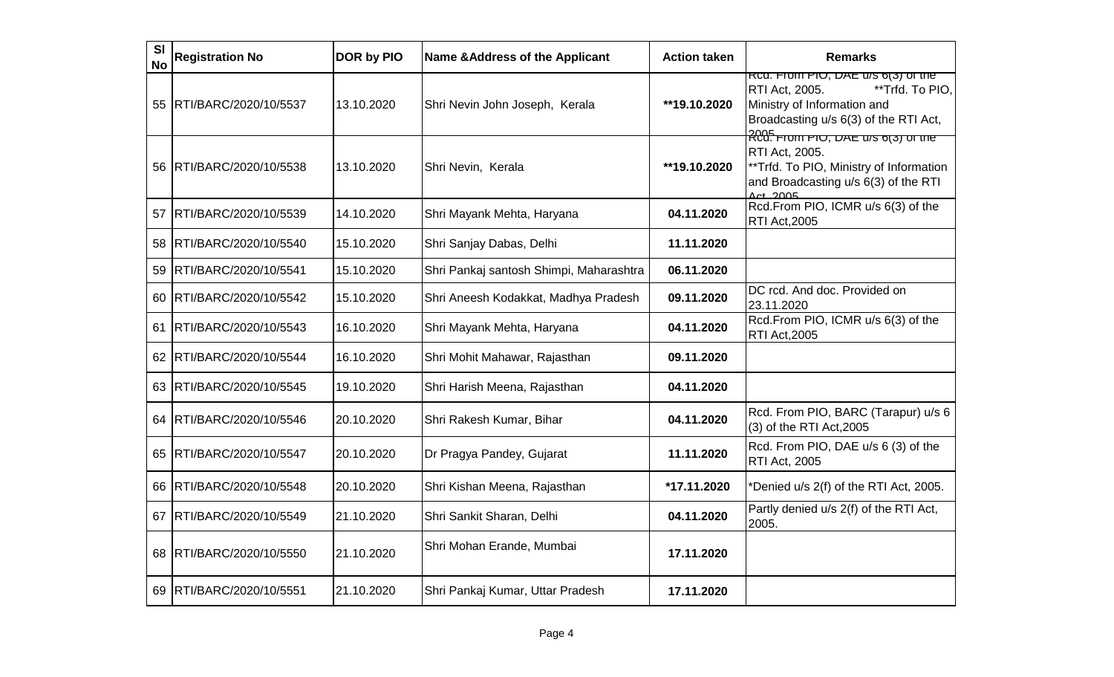| <b>SI</b><br><b>No</b> | <b>Registration No</b>   | DOR by PIO | <b>Name &amp; Address of the Applicant</b> | <b>Action taken</b> | <b>Remarks</b>                                                                                                                                                                                   |
|------------------------|--------------------------|------------|--------------------------------------------|---------------------|--------------------------------------------------------------------------------------------------------------------------------------------------------------------------------------------------|
| 55                     | RTI/BARC/2020/10/5537    | 13.10.2020 | Shri Nevin John Joseph, Kerala             | **19.10.2020        | RCG. From PIO, DAE U/S 6(3) OF the<br>**Trfd. To PIO,<br><b>RTI Act, 2005.</b><br>Ministry of Information and<br>Broadcasting u/s 6(3) of the RTI Act,                                           |
| 56.                    | RTI/BARC/2020/10/5538    | 13.10.2020 | Shri Nevin, Kerala                         | **19.10.2020        | אמב <del>.</del><br>RCd: דוסווו דוט, אם שאט <mark>ואט דו</mark><br><b>RTI Act, 2005.</b><br>** Trfd. To PIO, Ministry of Information<br>and Broadcasting u/s 6(3) of the RTI<br>$\Delta ct$ 2005 |
| 57                     | RTI/BARC/2020/10/5539    | 14.10.2020 | Shri Mayank Mehta, Haryana                 | 04.11.2020          | Rcd.From PIO, ICMR u/s 6(3) of the<br><b>RTI Act, 2005</b>                                                                                                                                       |
| 58                     | RTI/BARC/2020/10/5540    | 15.10.2020 | Shri Sanjay Dabas, Delhi                   | 11.11.2020          |                                                                                                                                                                                                  |
| 59                     | RTI/BARC/2020/10/5541    | 15.10.2020 | Shri Pankaj santosh Shimpi, Maharashtra    | 06.11.2020          |                                                                                                                                                                                                  |
| 60                     | RTI/BARC/2020/10/5542    | 15.10.2020 | Shri Aneesh Kodakkat, Madhya Pradesh       | 09.11.2020          | DC rcd. And doc. Provided on<br>23.11.2020                                                                                                                                                       |
| 61                     | RTI/BARC/2020/10/5543    | 16.10.2020 | Shri Mayank Mehta, Haryana                 | 04.11.2020          | Rcd.From PIO, ICMR u/s 6(3) of the<br>RTI Act, 2005                                                                                                                                              |
| 62                     | RTI/BARC/2020/10/5544    | 16.10.2020 | Shri Mohit Mahawar, Rajasthan              | 09.11.2020          |                                                                                                                                                                                                  |
| 63                     | RTI/BARC/2020/10/5545    | 19.10.2020 | Shri Harish Meena, Rajasthan               | 04.11.2020          |                                                                                                                                                                                                  |
| 64                     | RTI/BARC/2020/10/5546    | 20.10.2020 | Shri Rakesh Kumar, Bihar                   | 04.11.2020          | Rcd. From PIO, BARC (Tarapur) u/s 6<br>$(3)$ of the RTI Act, 2005                                                                                                                                |
| 65                     | RTI/BARC/2020/10/5547    | 20.10.2020 | Dr Pragya Pandey, Gujarat                  | 11.11.2020          | Rcd. From PIO, DAE u/s 6 (3) of the<br>RTI Act, 2005                                                                                                                                             |
| 66                     | RTI/BARC/2020/10/5548    | 20.10.2020 | Shri Kishan Meena, Rajasthan               | *17.11.2020         | *Denied u/s 2(f) of the RTI Act, 2005.                                                                                                                                                           |
| 67                     | RTI/BARC/2020/10/5549    | 21.10.2020 | Shri Sankit Sharan, Delhi                  | 04.11.2020          | Partly denied u/s 2(f) of the RTI Act,<br>2005.                                                                                                                                                  |
| 68                     | RTI/BARC/2020/10/5550    | 21.10.2020 | Shri Mohan Erande, Mumbai                  | 17.11.2020          |                                                                                                                                                                                                  |
|                        | 69 RTI/BARC/2020/10/5551 | 21.10.2020 | Shri Pankaj Kumar, Uttar Pradesh           | 17.11.2020          |                                                                                                                                                                                                  |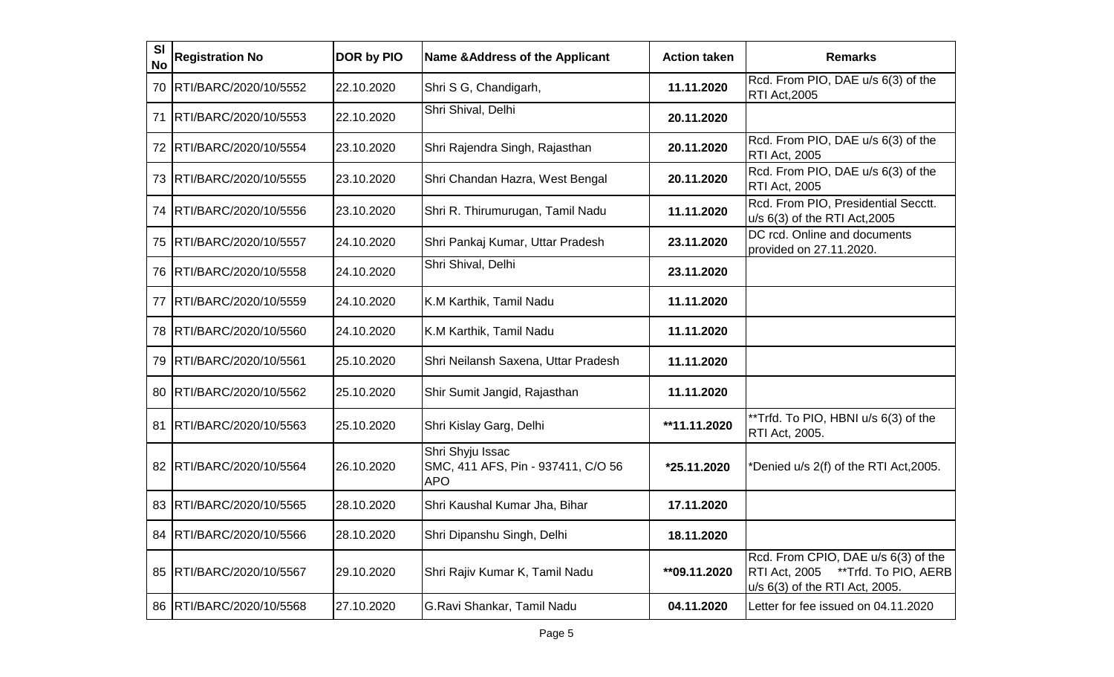| SI<br><b>No</b> | <b>Registration No</b>     | DOR by PIO | <b>Name &amp; Address of the Applicant</b>                           | <b>Action taken</b> | <b>Remarks</b>                                                                                                        |
|-----------------|----------------------------|------------|----------------------------------------------------------------------|---------------------|-----------------------------------------------------------------------------------------------------------------------|
| 70              | RTI/BARC/2020/10/5552      | 22.10.2020 | Shri S G, Chandigarh,                                                | 11.11.2020          | Rcd. From PIO, DAE u/s 6(3) of the<br><b>RTI Act, 2005</b>                                                            |
| 71              | RTI/BARC/2020/10/5553      | 22.10.2020 | Shri Shival, Delhi                                                   | 20.11.2020          |                                                                                                                       |
| 72              | RTI/BARC/2020/10/5554      | 23.10.2020 | Shri Rajendra Singh, Rajasthan                                       | 20.11.2020          | Rcd. From PIO, DAE u/s 6(3) of the<br><b>RTI Act, 2005</b>                                                            |
| 73              | RTI/BARC/2020/10/5555      | 23.10.2020 | Shri Chandan Hazra, West Bengal                                      | 20.11.2020          | Rcd. From PIO, DAE u/s 6(3) of the<br><b>RTI Act, 2005</b>                                                            |
| 74              | RTI/BARC/2020/10/5556      | 23.10.2020 | Shri R. Thirumurugan, Tamil Nadu                                     | 11.11.2020          | Rcd. From PIO, Presidential Secctt.<br>u/s 6(3) of the RTI Act, 2005                                                  |
| 75              | RTI/BARC/2020/10/5557      | 24.10.2020 | Shri Pankaj Kumar, Uttar Pradesh                                     | 23.11.2020          | DC rcd. Online and documents<br>provided on 27.11.2020.                                                               |
| 76              | RTI/BARC/2020/10/5558      | 24.10.2020 | Shri Shival, Delhi                                                   | 23.11.2020          |                                                                                                                       |
| 77              | RTI/BARC/2020/10/5559      | 24.10.2020 | K.M Karthik, Tamil Nadu                                              | 11.11.2020          |                                                                                                                       |
| 78              | RTI/BARC/2020/10/5560      | 24.10.2020 | K.M Karthik, Tamil Nadu                                              | 11.11.2020          |                                                                                                                       |
| 79              | RTI/BARC/2020/10/5561      | 25.10.2020 | Shri Neilansh Saxena, Uttar Pradesh                                  | 11.11.2020          |                                                                                                                       |
| 80              | RTI/BARC/2020/10/5562      | 25.10.2020 | Shir Sumit Jangid, Rajasthan.                                        | 11.11.2020          |                                                                                                                       |
| 81              | RTI/BARC/2020/10/5563      | 25.10.2020 | Shri Kislay Garg, Delhi                                              | **11.11.2020        | **Trfd. To PIO, HBNI u/s 6(3) of the<br>RTI Act, 2005.                                                                |
| 82              | RTI/BARC/2020/10/5564      | 26.10.2020 | Shri Shyju Issac<br>SMC, 411 AFS, Pin - 937411, C/O 56<br><b>APO</b> | *25.11.2020         | *Denied u/s 2(f) of the RTI Act,2005.                                                                                 |
| 83              | RTI/BARC/2020/10/5565      | 28.10.2020 | Shri Kaushal Kumar Jha, Bihar                                        | 17.11.2020          |                                                                                                                       |
|                 | 84   RTI/BARC/2020/10/5566 | 28.10.2020 | Shri Dipanshu Singh, Delhi                                           | 18.11.2020          |                                                                                                                       |
|                 | 85   RTI/BARC/2020/10/5567 | 29.10.2020 | Shri Rajiv Kumar K, Tamil Nadu                                       | **09.11.2020        | Rcd. From CPIO, DAE u/s 6(3) of the<br><b>RTI Act, 2005</b><br>**Trfd. To PIO, AERB<br>u/s 6(3) of the RTI Act, 2005. |
|                 | 86   RTI/BARC/2020/10/5568 | 27.10.2020 | G.Ravi Shankar, Tamil Nadu                                           | 04.11.2020          | Letter for fee issued on 04.11.2020                                                                                   |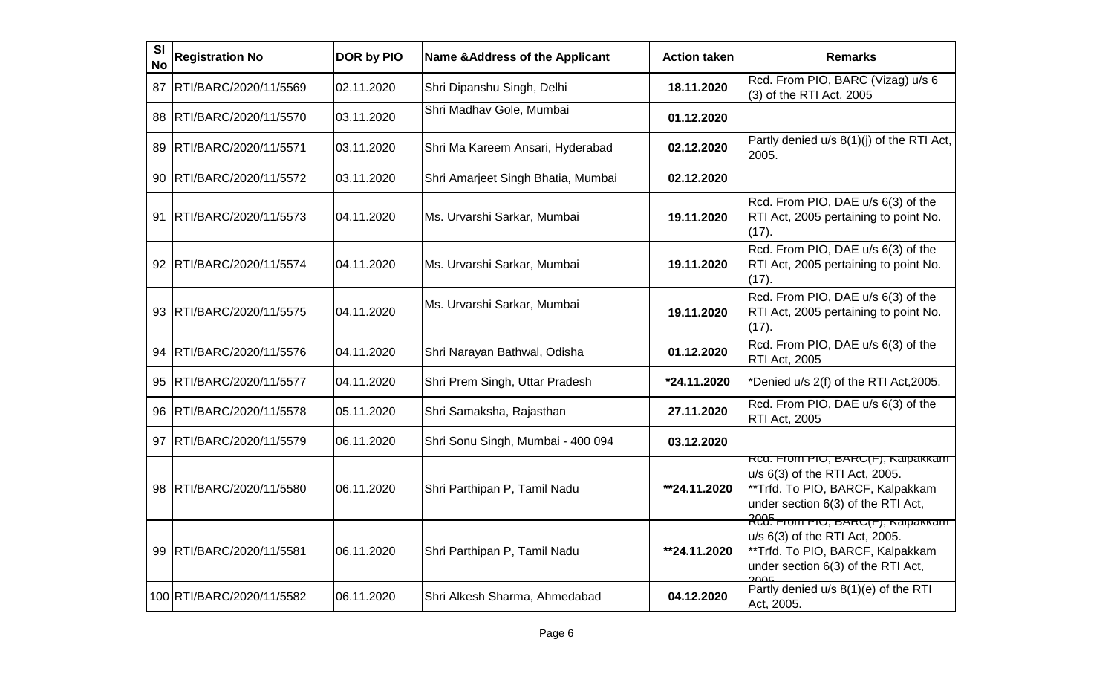| <b>SI</b><br><b>No</b> | <b>Registration No</b>    | DOR by PIO | <b>Name &amp; Address of the Applicant</b> | <b>Action taken</b> | <b>Remarks</b>                                                                                                                                                     |
|------------------------|---------------------------|------------|--------------------------------------------|---------------------|--------------------------------------------------------------------------------------------------------------------------------------------------------------------|
| 87                     | RTI/BARC/2020/11/5569     | 02.11.2020 | Shri Dipanshu Singh, Delhi                 | 18.11.2020          | Rcd. From PIO, BARC (Vizag) u/s 6<br>(3) of the RTI Act, 2005                                                                                                      |
| 88                     | RTI/BARC/2020/11/5570     | 03.11.2020 | Shri Madhav Gole, Mumbai                   | 01.12.2020          |                                                                                                                                                                    |
| 89                     | RTI/BARC/2020/11/5571     | 03.11.2020 | Shri Ma Kareem Ansari, Hyderabad           | 02.12.2020          | Partly denied u/s 8(1)(j) of the RTI Act,<br>2005.                                                                                                                 |
|                        | 90 RTI/BARC/2020/11/5572  | 03.11.2020 | Shri Amarjeet Singh Bhatia, Mumbai         | 02.12.2020          |                                                                                                                                                                    |
| 91                     | RTI/BARC/2020/11/5573     | 04.11.2020 | Ms. Urvarshi Sarkar, Mumbai                | 19.11.2020          | Rcd. From PIO, DAE u/s 6(3) of the<br>RTI Act, 2005 pertaining to point No.<br>(17)                                                                                |
| 92.                    | RTI/BARC/2020/11/5574     | 04.11.2020 | Ms. Urvarshi Sarkar, Mumbai                | 19.11.2020          | Rcd. From PIO, DAE u/s 6(3) of the<br>RTI Act, 2005 pertaining to point No.<br>(17).                                                                               |
| 93.                    | RTI/BARC/2020/11/5575     | 04.11.2020 | Ms. Urvarshi Sarkar, Mumbai                | 19.11.2020          | Rcd. From PIO, DAE u/s 6(3) of the<br>RTI Act, 2005 pertaining to point No.<br>$(17)$ .                                                                            |
|                        | 94 RTI/BARC/2020/11/5576  | 04.11.2020 | Shri Narayan Bathwal, Odisha               | 01.12.2020          | Rcd. From PIO, DAE u/s 6(3) of the<br><b>RTI Act, 2005</b>                                                                                                         |
| 95                     | RTI/BARC/2020/11/5577     | 04.11.2020 | Shri Prem Singh, Uttar Pradesh             | *24.11.2020         | *Denied u/s 2(f) of the RTI Act, 2005.                                                                                                                             |
| 96                     | RTI/BARC/2020/11/5578     | 05.11.2020 | Shri Samaksha, Rajasthan                   | 27.11.2020          | Rcd. From PIO, DAE u/s 6(3) of the<br><b>RTI Act, 2005</b>                                                                                                         |
| 97                     | RTI/BARC/2020/11/5579     | 06.11.2020 | Shri Sonu Singh, Mumbai - 400 094          | 03.12.2020          |                                                                                                                                                                    |
| 98                     | RTI/BARC/2020/11/5580     | 06.11.2020 | Shri Parthipan P, Tamil Nadu               | **24.11.2020        | <del>Rca. From PIO, BARC(F), Kalpakkam</del><br>u/s 6(3) of the RTI Act, 2005.<br>**Trfd. To PIO, BARCF, Kalpakkam<br>under section 6(3) of the RTI Act,           |
| 99                     | RTI/BARC/2020/11/5581     | 06.11.2020 | Shri Parthipan P, Tamil Nadu               | **24.11.2020        | R <del>CQ5 רוטוו רוט, אמקענד), גאון ACQ5</del><br>u/s 6(3) of the RTI Act, 2005.<br>**Trfd. To PIO, BARCF, Kalpakkam<br>under section 6(3) of the RTI Act,<br>200F |
|                        | 100 RTI/BARC/2020/11/5582 | 06.11.2020 | Shri Alkesh Sharma, Ahmedabad              | 04.12.2020          | Partly denied u/s 8(1)(e) of the RTI<br>Act, 2005.                                                                                                                 |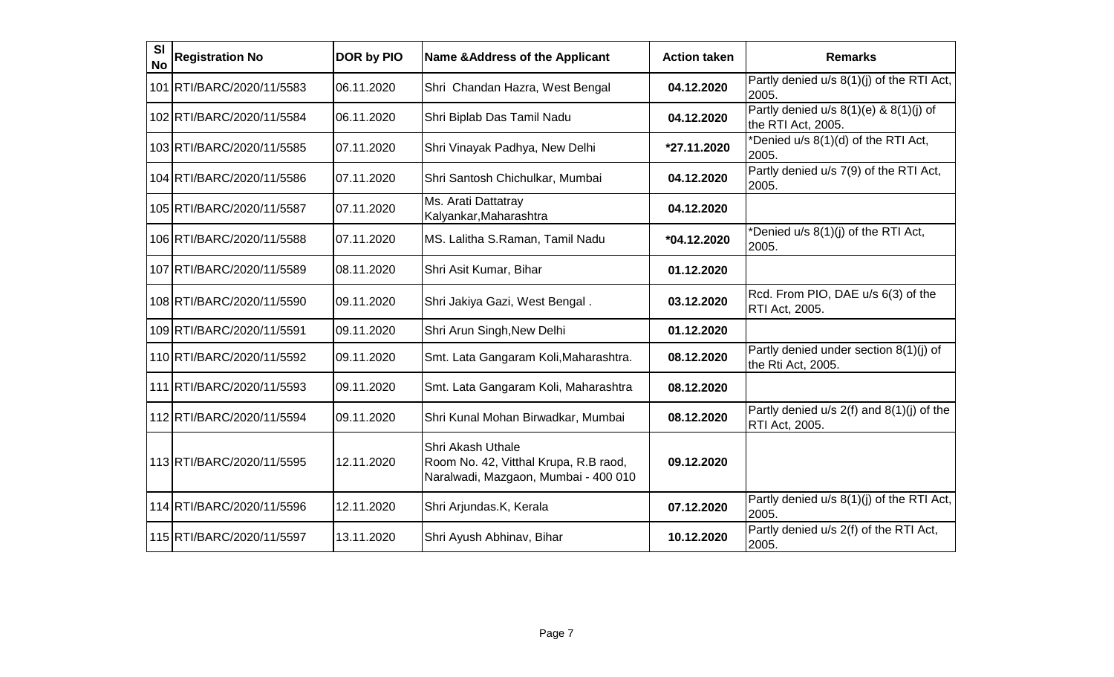| <b>SI</b><br><b>No</b> | <b>Registration No</b>    | DOR by PIO  | <b>Name &amp; Address of the Applicant</b>                                                         | <b>Action taken</b> | <b>Remarks</b>                                                   |
|------------------------|---------------------------|-------------|----------------------------------------------------------------------------------------------------|---------------------|------------------------------------------------------------------|
|                        | 101 RTI/BARC/2020/11/5583 | 06.11.2020  | Shri Chandan Hazra, West Bengal                                                                    | 04.12.2020          | Partly denied u/s 8(1)(j) of the RTI Act,<br>2005.               |
|                        | 102 RTI/BARC/2020/11/5584 | 106.11.2020 | Shri Biplab Das Tamil Nadu                                                                         | 04.12.2020          | Partly denied u/s $8(1)(e)$ & $8(1)(j)$ of<br>the RTI Act, 2005. |
|                        | 103 RTI/BARC/2020/11/5585 | 07.11.2020  | Shri Vinayak Padhya, New Delhi                                                                     | *27.11.2020         | *Denied u/s 8(1)(d) of the RTI Act,<br>2005.                     |
|                        | 104 RTI/BARC/2020/11/5586 | 07.11.2020  | Shri Santosh Chichulkar, Mumbai                                                                    | 04.12.2020          | Partly denied u/s 7(9) of the RTI Act,<br>2005.                  |
|                        | 105 RTI/BARC/2020/11/5587 | 07.11.2020  | Ms. Arati Dattatray<br>Kalyankar, Maharashtra                                                      | 04.12.2020          |                                                                  |
|                        | 106 RTI/BARC/2020/11/5588 | 107.11.2020 | MS. Lalitha S.Raman, Tamil Nadu                                                                    | *04.12.2020         | *Denied u/s 8(1)(j) of the RTI Act,<br>2005.                     |
|                        | 107 RTI/BARC/2020/11/5589 | 08.11.2020  | Shri Asit Kumar, Bihar                                                                             | 01.12.2020          |                                                                  |
|                        | 108 RTI/BARC/2020/11/5590 | 09.11.2020  | Shri Jakiya Gazi, West Bengal.                                                                     | 03.12.2020          | Rcd. From PIO, DAE u/s 6(3) of the<br><b>RTI Act, 2005.</b>      |
|                        | 109 RTI/BARC/2020/11/5591 | 09.11.2020  | Shri Arun Singh, New Delhi                                                                         | 01.12.2020          |                                                                  |
|                        | 110 RTI/BARC/2020/11/5592 | 09.11.2020  | Smt. Lata Gangaram Koli, Maharashtra.                                                              | 08.12.2020          | Partly denied under section 8(1)(j) of<br>the Rti Act, 2005.     |
|                        | 111 RTI/BARC/2020/11/5593 | 109.11.2020 | Smt. Lata Gangaram Koli, Maharashtra                                                               | 08.12.2020          |                                                                  |
|                        | 112 RTI/BARC/2020/11/5594 | 09.11.2020  | Shri Kunal Mohan Birwadkar, Mumbai                                                                 | 08.12.2020          | Partly denied u/s 2(f) and 8(1)(j) of the<br>RTI Act, 2005.      |
|                        | 113 RTI/BARC/2020/11/5595 | 12.11.2020  | Shri Akash Uthale<br>Room No. 42, Vitthal Krupa, R.B raod,<br>Naralwadi, Mazgaon, Mumbai - 400 010 | 09.12.2020          |                                                                  |
|                        | 114 RTI/BARC/2020/11/5596 | 12.11.2020  | Shri Arjundas.K, Kerala                                                                            | 07.12.2020          | Partly denied u/s 8(1)(j) of the RTI Act,<br>2005.               |
|                        | 115 RTI/BARC/2020/11/5597 | 13.11.2020  | Shri Ayush Abhinav, Bihar                                                                          | 10.12.2020          | Partly denied u/s 2(f) of the RTI Act,<br>2005.                  |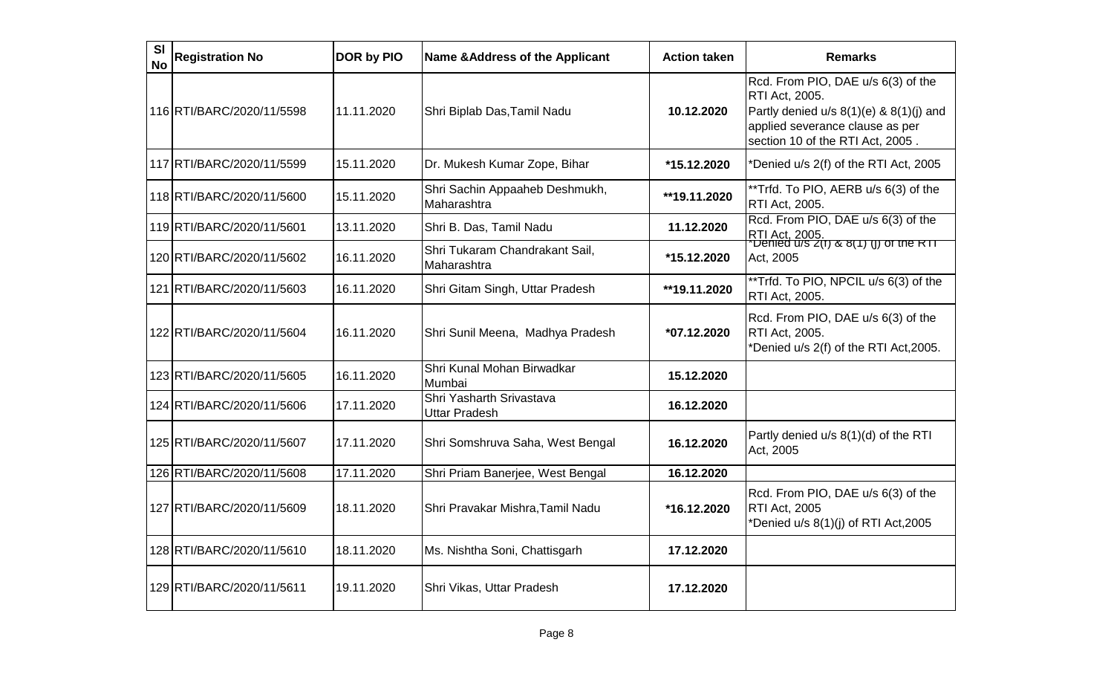| <b>SI</b><br><b>No</b> | <b>Registration No</b>    | DOR by PIO | <b>Name &amp; Address of the Applicant</b>       | <b>Action taken</b> | <b>Remarks</b>                                                                                                                                                         |
|------------------------|---------------------------|------------|--------------------------------------------------|---------------------|------------------------------------------------------------------------------------------------------------------------------------------------------------------------|
|                        | 116 RTI/BARC/2020/11/5598 | 11.11.2020 | Shri Biplab Das, Tamil Nadu                      | 10.12.2020          | Rcd. From PIO, DAE u/s 6(3) of the<br>RTI Act, 2005.<br>Partly denied u/s 8(1)(e) & 8(1)(j) and<br>applied severance clause as per<br>section 10 of the RTI Act, 2005. |
|                        | 117 RTI/BARC/2020/11/5599 | 15.11.2020 | Dr. Mukesh Kumar Zope, Bihar                     | *15.12.2020         | *Denied u/s 2(f) of the RTI Act, 2005                                                                                                                                  |
|                        | 118 RTI/BARC/2020/11/5600 | 15.11.2020 | Shri Sachin Appaaheb Deshmukh,<br>Maharashtra    | **19.11.2020        | **Trfd. To PIO, AERB u/s 6(3) of the<br>RTI Act, 2005.                                                                                                                 |
|                        | 119 RTI/BARC/2020/11/5601 | 13.11.2020 | Shri B. Das, Tamil Nadu                          | 11.12.2020          | Rcd. From PIO, DAE u/s 6(3) of the<br> RTI Act, 2005 <mark>.</mark><br>  Denied u/s 2(1) & 8(1) (J) of the RTT                                                         |
|                        | 120 RTI/BARC/2020/11/5602 | 16.11.2020 | Shri Tukaram Chandrakant Sail,<br>Maharashtra    | *15.12.2020         | Act, 2005                                                                                                                                                              |
|                        | 121 RTI/BARC/2020/11/5603 | 16.11.2020 | Shri Gitam Singh, Uttar Pradesh                  | **19.11.2020        | **Trfd. To PIO, NPCIL u/s 6(3) of the<br>RTI Act, 2005.                                                                                                                |
|                        | 122 RTI/BARC/2020/11/5604 | 16.11.2020 | Shri Sunil Meena, Madhya Pradesh                 | *07.12.2020         | Rcd. From PIO, DAE u/s 6(3) of the<br>RTI Act, 2005.<br>*Denied u/s 2(f) of the RTI Act, 2005.                                                                         |
|                        | 123 RTI/BARC/2020/11/5605 | 16.11.2020 | Shri Kunal Mohan Birwadkar<br>Mumbai             | 15.12.2020          |                                                                                                                                                                        |
|                        | 124 RTI/BARC/2020/11/5606 | 17.11.2020 | Shri Yasharth Srivastava<br><b>Uttar Pradesh</b> | 16.12.2020          |                                                                                                                                                                        |
|                        | 125 RTI/BARC/2020/11/5607 | 17.11.2020 | Shri Somshruva Saha, West Bengal                 | 16.12.2020          | Partly denied u/s 8(1)(d) of the RTI<br>Act, 2005                                                                                                                      |
|                        | 126 RTI/BARC/2020/11/5608 | 17.11.2020 | Shri Priam Banerjee, West Bengal                 | 16.12.2020          |                                                                                                                                                                        |
|                        | 127 RTI/BARC/2020/11/5609 | 18.11.2020 | Shri Pravakar Mishra, Tamil Nadu                 | *16.12.2020         | Rcd. From PIO, DAE u/s 6(3) of the<br><b>RTI Act, 2005</b><br>*Denied u/s 8(1)(j) of RTI Act,2005                                                                      |
|                        | 128 RTI/BARC/2020/11/5610 | 18.11.2020 | Ms. Nishtha Soni, Chattisgarh                    | 17.12.2020          |                                                                                                                                                                        |
|                        | 129 RTI/BARC/2020/11/5611 | 19.11.2020 | Shri Vikas, Uttar Pradesh                        | 17.12.2020          |                                                                                                                                                                        |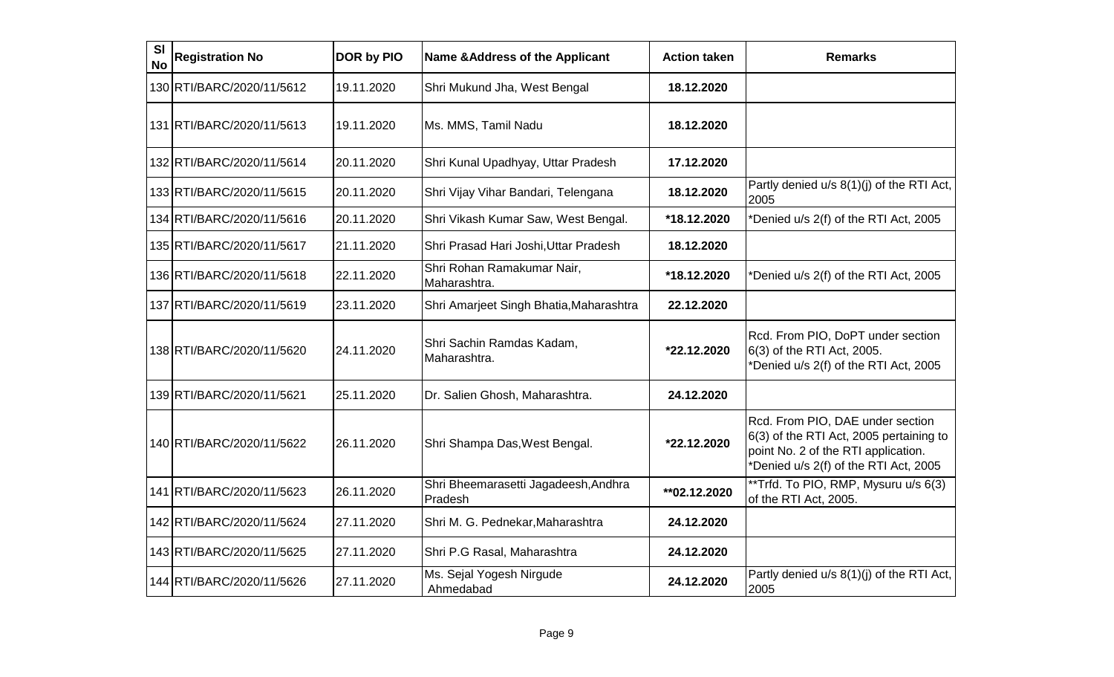| <b>SI</b><br><b>No</b> | <b>Registration No</b>    | <b>DOR by PIO</b> | <b>Name &amp; Address of the Applicant</b>      | <b>Action taken</b> | <b>Remarks</b>                                                                                                                                              |
|------------------------|---------------------------|-------------------|-------------------------------------------------|---------------------|-------------------------------------------------------------------------------------------------------------------------------------------------------------|
|                        | 130 RTI/BARC/2020/11/5612 | 19.11.2020        | Shri Mukund Jha, West Bengal                    | 18.12.2020          |                                                                                                                                                             |
|                        | 131 RTI/BARC/2020/11/5613 | 19.11.2020        | Ms. MMS, Tamil Nadu                             | 18.12.2020          |                                                                                                                                                             |
|                        | 132 RTI/BARC/2020/11/5614 | 20.11.2020        | Shri Kunal Upadhyay, Uttar Pradesh              | 17.12.2020          |                                                                                                                                                             |
|                        | 133 RTI/BARC/2020/11/5615 | 20.11.2020        | Shri Vijay Vihar Bandari, Telengana             | 18.12.2020          | Partly denied u/s 8(1)(j) of the RTI Act,<br>2005                                                                                                           |
|                        | 134 RTI/BARC/2020/11/5616 | 20.11.2020        | Shri Vikash Kumar Saw, West Bengal.             | *18.12.2020         | Denied u/s 2(f) of the RTI Act, 2005                                                                                                                        |
|                        | 135 RTI/BARC/2020/11/5617 | 21.11.2020        | Shri Prasad Hari Joshi, Uttar Pradesh           | 18.12.2020          |                                                                                                                                                             |
|                        | 136 RTI/BARC/2020/11/5618 | 22.11.2020        | Shri Rohan Ramakumar Nair,<br>Maharashtra.      | *18.12.2020         | Denied u/s 2(f) of the RTI Act, 2005                                                                                                                        |
|                        | 137 RTI/BARC/2020/11/5619 | 23.11.2020        | Shri Amarjeet Singh Bhatia, Maharashtra         | 22.12.2020          |                                                                                                                                                             |
|                        | 138 RTI/BARC/2020/11/5620 | 24.11.2020        | Shri Sachin Ramdas Kadam,<br>Maharashtra.       | *22.12.2020         | Rcd. From PIO, DoPT under section<br>6(3) of the RTI Act, 2005.<br>*Denied u/s 2(f) of the RTI Act, 2005                                                    |
|                        | 139 RTI/BARC/2020/11/5621 | 25.11.2020        | Dr. Salien Ghosh, Maharashtra.                  | 24.12.2020          |                                                                                                                                                             |
|                        | 140 RTI/BARC/2020/11/5622 | 26.11.2020        | Shri Shampa Das, West Bengal.                   | *22.12.2020         | Rcd. From PIO, DAE under section<br>6(3) of the RTI Act, 2005 pertaining to<br>point No. 2 of the RTI application.<br>*Denied u/s 2(f) of the RTI Act, 2005 |
|                        | 141 RTI/BARC/2020/11/5623 | 26.11.2020        | Shri Bheemarasetti Jagadeesh, Andhra<br>Pradesh | ** 02.12.2020       | **Trfd. To PIO, RMP, Mysuru u/s 6(3)<br>of the RTI Act, 2005.                                                                                               |
|                        | 142 RTI/BARC/2020/11/5624 | 27.11.2020        | Shri M. G. Pednekar, Maharashtra                | 24.12.2020          |                                                                                                                                                             |
|                        | 143 RTI/BARC/2020/11/5625 | 27.11.2020        | Shri P.G Rasal, Maharashtra                     | 24.12.2020          |                                                                                                                                                             |
|                        | 144 RTI/BARC/2020/11/5626 | 27.11.2020        | Ms. Sejal Yogesh Nirgude<br>Ahmedabad           | 24.12.2020          | Partly denied u/s 8(1)(j) of the RTI Act,<br>2005                                                                                                           |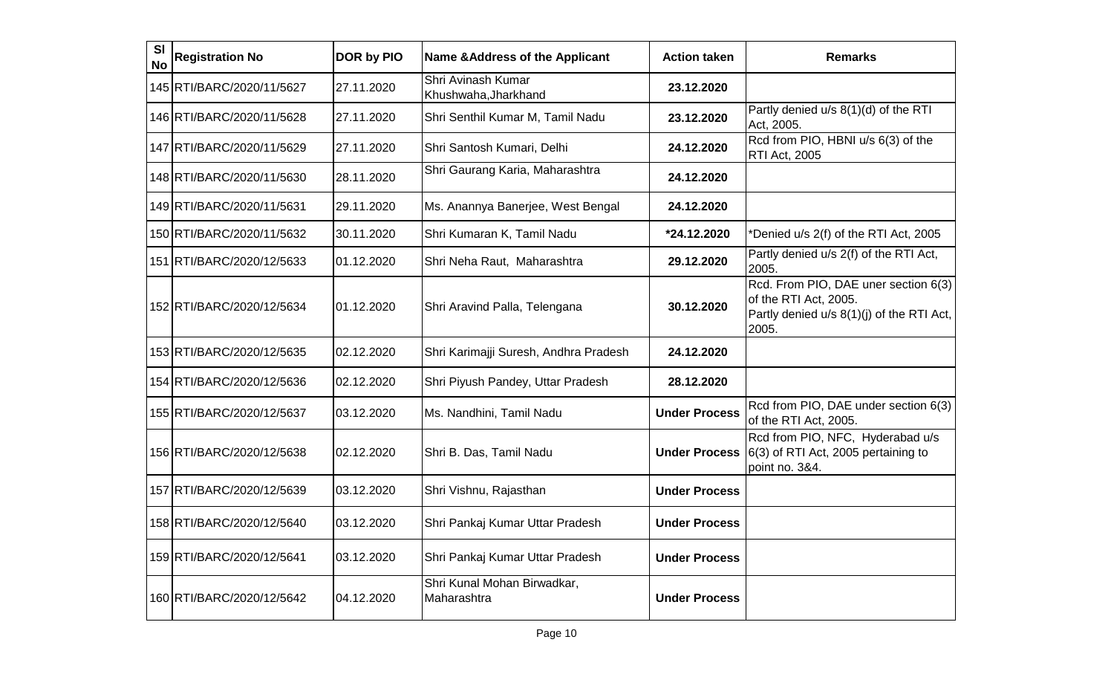| <b>SI</b><br><b>No</b> | <b>Registration No</b>    | DOR by PIO | <b>Name &amp; Address of the Applicant</b> | <b>Action taken</b>  | <b>Remarks</b>                                                                                                      |
|------------------------|---------------------------|------------|--------------------------------------------|----------------------|---------------------------------------------------------------------------------------------------------------------|
|                        | 145 RTI/BARC/2020/11/5627 | 27.11.2020 | Shri Avinash Kumar<br>Khushwaha, Jharkhand | 23.12.2020           |                                                                                                                     |
|                        | 146 RTI/BARC/2020/11/5628 | 27.11.2020 | Shri Senthil Kumar M, Tamil Nadu           | 23.12.2020           | Partly denied u/s 8(1)(d) of the RTI<br>Act, 2005.                                                                  |
|                        | 147 RTI/BARC/2020/11/5629 | 27.11.2020 | Shri Santosh Kumari, Delhi                 | 24.12.2020           | Rcd from PIO, HBNI u/s 6(3) of the<br><b>RTI Act, 2005</b>                                                          |
|                        | 148 RTI/BARC/2020/11/5630 | 28.11.2020 | Shri Gaurang Karia, Maharashtra            | 24.12.2020           |                                                                                                                     |
|                        | 149 RTI/BARC/2020/11/5631 | 29.11.2020 | Ms. Anannya Banerjee, West Bengal          | 24.12.2020           |                                                                                                                     |
|                        | 150 RTI/BARC/2020/11/5632 | 30.11.2020 | Shri Kumaran K, Tamil Nadu                 | *24.12.2020          | *Denied u/s 2(f) of the RTI Act, 2005                                                                               |
|                        | 151 RTI/BARC/2020/12/5633 | 01.12.2020 | Shri Neha Raut, Maharashtra                | 29.12.2020           | Partly denied u/s 2(f) of the RTI Act,<br>2005.                                                                     |
|                        | 152 RTI/BARC/2020/12/5634 | 01.12.2020 | Shri Aravind Palla, Telengana              | 30.12.2020           | Rcd. From PIO, DAE uner section 6(3)<br>of the RTI Act, 2005.<br>Partly denied u/s 8(1)(j) of the RTI Act,<br>2005. |
|                        | 153 RTI/BARC/2020/12/5635 | 02.12.2020 | Shri Karimajji Suresh, Andhra Pradesh      | 24.12.2020           |                                                                                                                     |
|                        | 154 RTI/BARC/2020/12/5636 | 02.12.2020 | Shri Piyush Pandey, Uttar Pradesh          | 28.12.2020           |                                                                                                                     |
|                        | 155 RTI/BARC/2020/12/5637 | 03.12.2020 | Ms. Nandhini, Tamil Nadu                   | <b>Under Process</b> | Rcd from PIO, DAE under section 6(3)<br>of the RTI Act, 2005.                                                       |
|                        | 156 RTI/BARC/2020/12/5638 | 02.12.2020 | Shri B. Das, Tamil Nadu                    | <b>Under Process</b> | Rcd from PIO, NFC, Hyderabad u/s<br>6(3) of RTI Act, 2005 pertaining to<br>point no. 3&4.                           |
|                        | 157 RTI/BARC/2020/12/5639 | 03.12.2020 | Shri Vishnu, Rajasthan                     | <b>Under Process</b> |                                                                                                                     |
|                        | 158 RTI/BARC/2020/12/5640 | 03.12.2020 | Shri Pankaj Kumar Uttar Pradesh            | <b>Under Process</b> |                                                                                                                     |
|                        | 159 RTI/BARC/2020/12/5641 | 03.12.2020 | Shri Pankaj Kumar Uttar Pradesh            | <b>Under Process</b> |                                                                                                                     |
|                        | 160 RTI/BARC/2020/12/5642 | 04.12.2020 | Shri Kunal Mohan Birwadkar,<br>Maharashtra | <b>Under Process</b> |                                                                                                                     |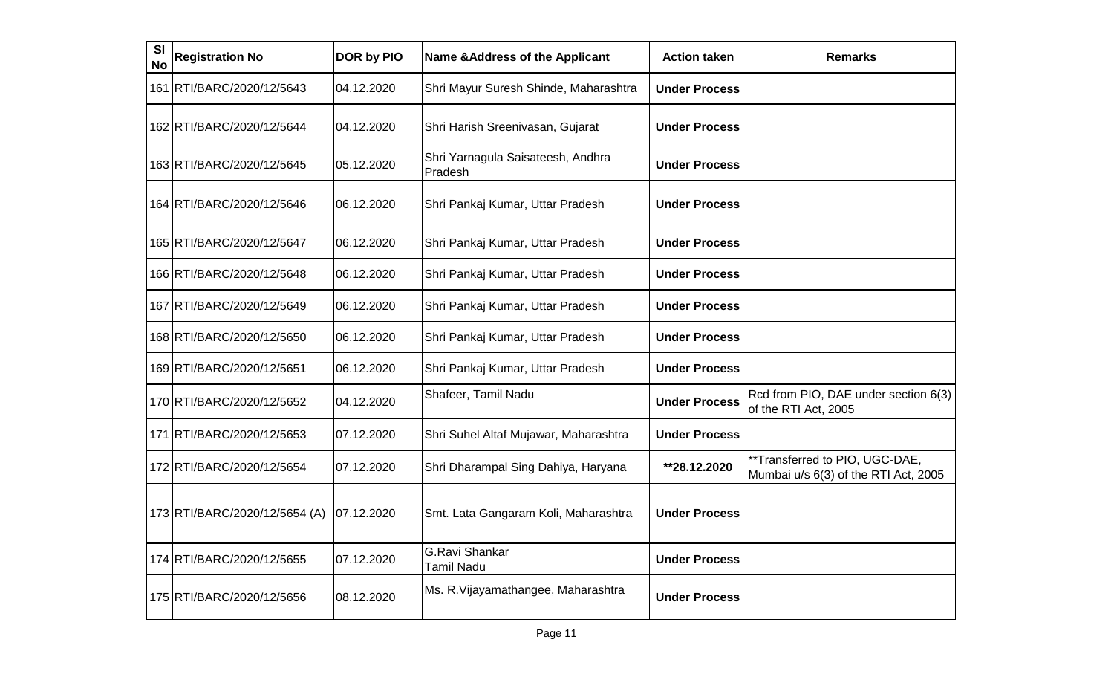| <b>SI</b><br><b>No</b> | <b>Registration No</b>        | DOR by PIO | <b>Name &amp; Address of the Applicant</b>   | <b>Action taken</b>  | <b>Remarks</b>                                                         |
|------------------------|-------------------------------|------------|----------------------------------------------|----------------------|------------------------------------------------------------------------|
|                        | 161 RTI/BARC/2020/12/5643     | 04.12.2020 | Shri Mayur Suresh Shinde, Maharashtra        | <b>Under Process</b> |                                                                        |
|                        | 162 RTI/BARC/2020/12/5644     | 04.12.2020 | Shri Harish Sreenivasan, Gujarat             | <b>Under Process</b> |                                                                        |
|                        | 163 RTI/BARC/2020/12/5645     | 05.12.2020 | Shri Yarnagula Saisateesh, Andhra<br>Pradesh | <b>Under Process</b> |                                                                        |
|                        | 164 RTI/BARC/2020/12/5646     | 06.12.2020 | Shri Pankaj Kumar, Uttar Pradesh             | <b>Under Process</b> |                                                                        |
|                        | 165 RTI/BARC/2020/12/5647     | 06.12.2020 | Shri Pankaj Kumar, Uttar Pradesh             | <b>Under Process</b> |                                                                        |
|                        | 166 RTI/BARC/2020/12/5648     | 06.12.2020 | Shri Pankaj Kumar, Uttar Pradesh             | <b>Under Process</b> |                                                                        |
|                        | 167 RTI/BARC/2020/12/5649     | 06.12.2020 | Shri Pankaj Kumar, Uttar Pradesh             | <b>Under Process</b> |                                                                        |
|                        | 168 RTI/BARC/2020/12/5650     | 06.12.2020 | Shri Pankaj Kumar, Uttar Pradesh             | <b>Under Process</b> |                                                                        |
|                        | 169 RTI/BARC/2020/12/5651     | 06.12.2020 | Shri Pankaj Kumar, Uttar Pradesh             | <b>Under Process</b> |                                                                        |
|                        | 170 RTI/BARC/2020/12/5652     | 04.12.2020 | Shafeer, Tamil Nadu                          | <b>Under Process</b> | Rcd from PIO, DAE under section 6(3)<br>of the RTI Act, 2005           |
|                        | 171   RTI/BARC/2020/12/5653   | 07.12.2020 | Shri Suhel Altaf Mujawar, Maharashtra        | <b>Under Process</b> |                                                                        |
|                        | 172 RTI/BARC/2020/12/5654     | 07.12.2020 | Shri Dharampal Sing Dahiya, Haryana          | **28.12.2020         | **Transferred to PIO, UGC-DAE,<br>Mumbai u/s 6(3) of the RTI Act, 2005 |
|                        | 173 RTI/BARC/2020/12/5654 (A) | 07.12.2020 | Smt. Lata Gangaram Koli, Maharashtra         | <b>Under Process</b> |                                                                        |
|                        | 174 RTI/BARC/2020/12/5655     | 07.12.2020 | <b>G.Ravi Shankar</b><br><b>Tamil Nadu</b>   | <b>Under Process</b> |                                                                        |
|                        | 175 RTI/BARC/2020/12/5656     | 08.12.2020 | Ms. R. Vijayamathangee, Maharashtra          | <b>Under Process</b> |                                                                        |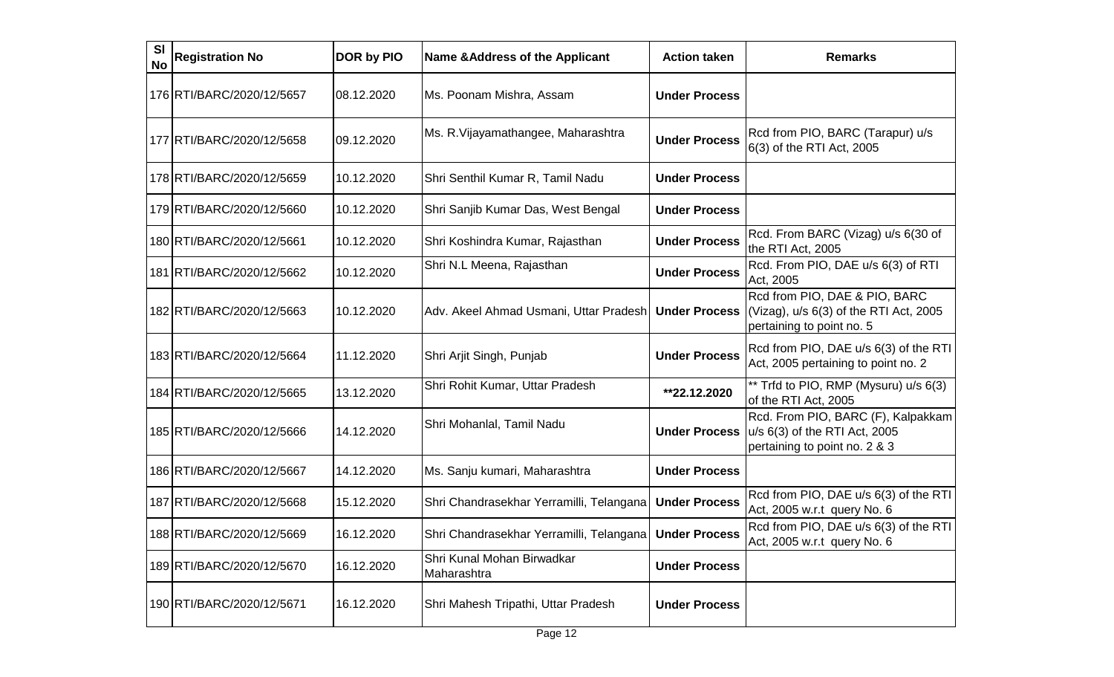| SI<br><b>No</b> | <b>Registration No</b>    | DOR by PIO | <b>Name &amp; Address of the Applicant</b>               | <b>Action taken</b>  | <b>Remarks</b>                                                                                       |
|-----------------|---------------------------|------------|----------------------------------------------------------|----------------------|------------------------------------------------------------------------------------------------------|
|                 | 176 RTI/BARC/2020/12/5657 | 08.12.2020 | Ms. Poonam Mishra, Assam                                 | <b>Under Process</b> |                                                                                                      |
|                 | 177 RTI/BARC/2020/12/5658 | 09.12.2020 | Ms. R. Vijayamathangee, Maharashtra                      | <b>Under Process</b> | Rcd from PIO, BARC (Tarapur) u/s<br>6(3) of the RTI Act, 2005                                        |
|                 | 178 RTI/BARC/2020/12/5659 | 10.12.2020 | Shri Senthil Kumar R, Tamil Nadu                         | <b>Under Process</b> |                                                                                                      |
|                 | 179 RTI/BARC/2020/12/5660 | 10.12.2020 | Shri Sanjib Kumar Das, West Bengal                       | <b>Under Process</b> |                                                                                                      |
|                 | 180 RTI/BARC/2020/12/5661 | 10.12.2020 | Shri Koshindra Kumar, Rajasthan                          | <b>Under Process</b> | Rcd. From BARC (Vizag) u/s 6(30 of<br>the RTI Act, 2005                                              |
|                 | 181 RTI/BARC/2020/12/5662 | 10.12.2020 | Shri N.L Meena, Rajasthan                                | <b>Under Process</b> | Rcd. From PIO, DAE u/s 6(3) of RTI<br>Act, 2005                                                      |
|                 | 182 RTI/BARC/2020/12/5663 | 10.12.2020 | Adv. Akeel Ahmad Usmani, Uttar Pradesh                   | <b>Under Process</b> | Rcd from PIO, DAE & PIO, BARC<br>(Vizag), u/s 6(3) of the RTI Act, 2005<br>pertaining to point no. 5 |
|                 | 183 RTI/BARC/2020/12/5664 | 11.12.2020 | Shri Arjit Singh, Punjab                                 | <b>Under Process</b> | Rcd from PIO, DAE u/s 6(3) of the RTI<br>Act, 2005 pertaining to point no. 2                         |
|                 | 184 RTI/BARC/2020/12/5665 | 13.12.2020 | Shri Rohit Kumar, Uttar Pradesh                          | **22.12.2020         | ** Trfd to PIO, RMP (Mysuru) u/s 6(3)<br>of the RTI Act, 2005                                        |
|                 | 185 RTI/BARC/2020/12/5666 | 14.12.2020 | Shri Mohanlal, Tamil Nadu                                | <b>Under Process</b> | Rcd. From PIO, BARC (F), Kalpakkam<br>u/s 6(3) of the RTI Act, 2005<br>pertaining to point no. 2 & 3 |
|                 | 186 RTI/BARC/2020/12/5667 | 14.12.2020 | Ms. Sanju kumari, Maharashtra                            | <b>Under Process</b> |                                                                                                      |
|                 | 187 RTI/BARC/2020/12/5668 | 15.12.2020 | Shri Chandrasekhar Yerramilli, Telangana                 | <b>Under Process</b> | Rcd from PIO, DAE u/s 6(3) of the RTI<br>Act, 2005 w.r.t query No. 6                                 |
|                 | 188 RTI/BARC/2020/12/5669 | 16.12.2020 | Shri Chandrasekhar Yerramilli, Telangana   Under Process |                      | Rcd from PIO, DAE u/s 6(3) of the RTI<br>Act, 2005 w.r.t query No. 6                                 |
|                 | 189 RTI/BARC/2020/12/5670 | 16.12.2020 | Shri Kunal Mohan Birwadkar<br>Maharashtra                | <b>Under Process</b> |                                                                                                      |
|                 | 190 RTI/BARC/2020/12/5671 | 16.12.2020 | Shri Mahesh Tripathi, Uttar Pradesh                      | <b>Under Process</b> |                                                                                                      |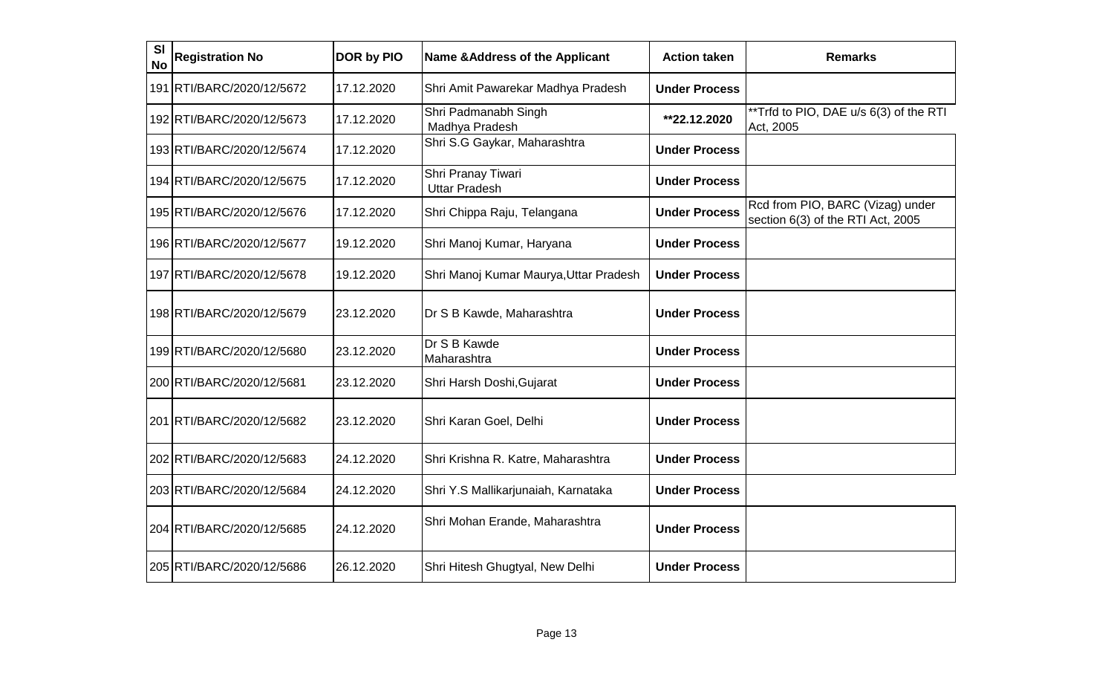| <b>SI</b><br><b>No</b> | <b>Registration No</b>    | DOR by PIO | Name & Address of the Applicant            | <b>Action taken</b>  | <b>Remarks</b>                                                        |
|------------------------|---------------------------|------------|--------------------------------------------|----------------------|-----------------------------------------------------------------------|
|                        | 191 RTI/BARC/2020/12/5672 | 17.12.2020 | Shri Amit Pawarekar Madhya Pradesh         | <b>Under Process</b> |                                                                       |
|                        | 192 RTI/BARC/2020/12/5673 | 17.12.2020 | Shri Padmanabh Singh<br>Madhya Pradesh     | **22.12.2020         | **Trfd to PIO, DAE u/s 6(3) of the RTI<br>Act, 2005                   |
|                        | 193 RTI/BARC/2020/12/5674 | 17.12.2020 | Shri S.G Gaykar, Maharashtra               | <b>Under Process</b> |                                                                       |
|                        | 194 RTI/BARC/2020/12/5675 | 17.12.2020 | Shri Pranay Tiwari<br><b>Uttar Pradesh</b> | <b>Under Process</b> |                                                                       |
|                        | 195 RTI/BARC/2020/12/5676 | 17.12.2020 | Shri Chippa Raju, Telangana                | <b>Under Process</b> | Rcd from PIO, BARC (Vizag) under<br>section 6(3) of the RTI Act, 2005 |
|                        | 196 RTI/BARC/2020/12/5677 | 19.12.2020 | Shri Manoj Kumar, Haryana                  | <b>Under Process</b> |                                                                       |
|                        | 197 RTI/BARC/2020/12/5678 | 19.12.2020 | Shri Manoj Kumar Maurya, Uttar Pradesh     | <b>Under Process</b> |                                                                       |
|                        | 198 RTI/BARC/2020/12/5679 | 23.12.2020 | Dr S B Kawde, Maharashtra                  | <b>Under Process</b> |                                                                       |
|                        | 199 RTI/BARC/2020/12/5680 | 23.12.2020 | Dr S B Kawde<br>Maharashtra                | <b>Under Process</b> |                                                                       |
|                        | 200 RTI/BARC/2020/12/5681 | 23.12.2020 | Shri Harsh Doshi, Gujarat                  | <b>Under Process</b> |                                                                       |
|                        | 201 RTI/BARC/2020/12/5682 | 23.12.2020 | Shri Karan Goel, Delhi                     | <b>Under Process</b> |                                                                       |
|                        | 202 RTI/BARC/2020/12/5683 | 24.12.2020 | Shri Krishna R. Katre, Maharashtra         | <b>Under Process</b> |                                                                       |
|                        | 203 RTI/BARC/2020/12/5684 | 24.12.2020 | Shri Y.S Mallikarjunaiah, Karnataka        | <b>Under Process</b> |                                                                       |
|                        | 204 RTI/BARC/2020/12/5685 | 24.12.2020 | Shri Mohan Erande, Maharashtra             | <b>Under Process</b> |                                                                       |
|                        | 205 RTI/BARC/2020/12/5686 | 26.12.2020 | Shri Hitesh Ghugtyal, New Delhi            | <b>Under Process</b> |                                                                       |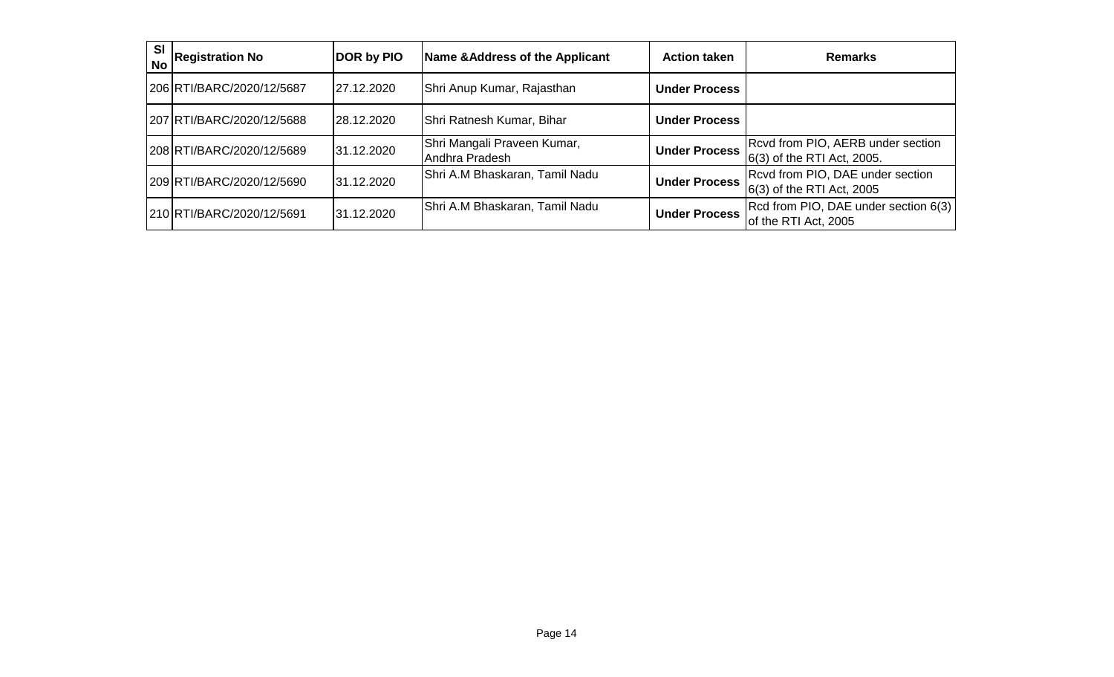| <b>SI</b><br><b>No</b> | <b>Registration No</b>    | <b>DOR by PIO</b> | Name & Address of the Applicant               | <b>Action taken</b>  | <b>Remarks</b>                                                  |
|------------------------|---------------------------|-------------------|-----------------------------------------------|----------------------|-----------------------------------------------------------------|
|                        | 206 RTI/BARC/2020/12/5687 | 27.12.2020        | Shri Anup Kumar, Rajasthan                    | <b>Under Process</b> |                                                                 |
|                        | 207 RTI/BARC/2020/12/5688 | 28.12.2020        | Shri Ratnesh Kumar, Bihar                     | <b>Under Process</b> |                                                                 |
|                        | 208 RTI/BARC/2020/12/5689 | 31.12.2020        | Shri Mangali Praveen Kumar,<br>Andhra Pradesh | <b>Under Process</b> | Rcvd from PIO, AERB under section<br>6(3) of the RTI Act, 2005. |
|                        | 209 RTI/BARC/2020/12/5690 | 31.12.2020        | Shri A.M Bhaskaran, Tamil Nadu                | <b>Under Process</b> | Rcvd from PIO, DAE under section<br>$6(3)$ of the RTI Act, 2005 |
|                        | 210 RTI/BARC/2020/12/5691 | 31.12.2020        | Shri A.M Bhaskaran, Tamil Nadu                | <b>Under Process</b> | Rcd from PIO, DAE under section 6(3)<br>of the RTI Act, 2005    |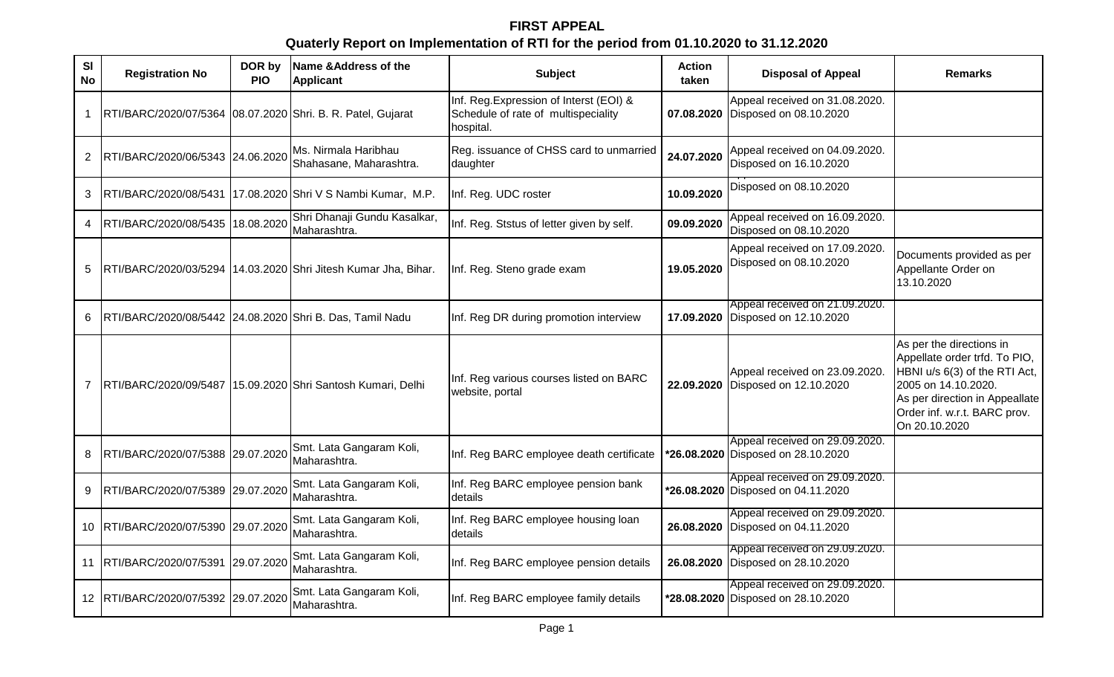# **FIRST APPEAL Quaterly Report on Implementation of RTI for the period from 01.10.2020 to 31.12.2020**

| <b>SI</b><br><b>No</b> | <b>Registration No</b>                                      | DOR by<br><b>PIO</b> | Name & Address of the<br><b>Applicant</b>                      | <b>Subject</b>                                                                              | Action<br>taken | <b>Disposal of Appeal</b>                                            | <b>Remarks</b>                                                                                                                                                                                       |
|------------------------|-------------------------------------------------------------|----------------------|----------------------------------------------------------------|---------------------------------------------------------------------------------------------|-----------------|----------------------------------------------------------------------|------------------------------------------------------------------------------------------------------------------------------------------------------------------------------------------------------|
| $\mathbf 1$            | RTI/BARC/2020/07/5364 08.07.2020 Shri. B. R. Patel, Gujarat |                      |                                                                | Inf. Reg. Expression of Interst (EOI) &<br>Schedule of rate of multispeciality<br>hospital. | 07.08.2020      | Appeal received on 31.08.2020.<br>Disposed on 08.10.2020             |                                                                                                                                                                                                      |
| $\overline{2}$         | RTI/BARC/2020/06/5343 24.06.2020                            |                      | Ms. Nirmala Haribhau<br>Shahasane, Maharashtra.                | Reg. issuance of CHSS card to unmarried<br>daughter                                         | 24.07.2020      | Appeal received on 04.09.2020.<br>Disposed on 16.10.2020             |                                                                                                                                                                                                      |
| 3                      | RTI/BARC/2020/08/5431                                       |                      | 17.08.2020 Shri V S Nambi Kumar, M.P.                          | Inf. Reg. UDC roster                                                                        | 10.09.2020      | Disposed on 08.10.2020                                               |                                                                                                                                                                                                      |
| 4                      | RTI/BARC/2020/08/5435 18.08.2020                            |                      | Shri Dhanaji Gundu Kasalkar,<br>Maharashtra.                   | Inf. Reg. Ststus of letter given by self.                                                   | 09.09.2020      | Appeal received on 16.09.2020.<br>Disposed on 08.10.2020             |                                                                                                                                                                                                      |
| 5                      |                                                             |                      | RTI/BARC/2020/03/5294 14.03.2020 Shri Jitesh Kumar Jha, Bihar. | Inf. Reg. Steno grade exam                                                                  | 19.05.2020      | Appeal received on 17.09.2020.<br>Disposed on 08.10.2020             | Documents provided as per<br>Appellante Order on<br>13.10.2020                                                                                                                                       |
| 6                      | RTI/BARC/2020/08/5442 24.08.2020 Shri B. Das, Tamil Nadu    |                      |                                                                | Inf. Reg DR during promotion interview                                                      |                 | Appeal received on 21.09.2020.<br>17.09.2020 Disposed on 12.10.2020  |                                                                                                                                                                                                      |
| $\overline{7}$         |                                                             |                      | RTI/BARC/2020/09/5487 15.09.2020 Shri Santosh Kumari, Delhi    | Inf. Reg various courses listed on BARC<br>website, portal                                  |                 | Appeal received on 23.09.2020.<br>22.09.2020 Disposed on 12.10.2020  | As per the directions in<br>Appellate order trfd. To PIO,<br>HBNI u/s 6(3) of the RTI Act,<br>2005 on 14.10.2020.<br>As per direction in Appeallate<br>Order inf. w.r.t. BARC prov.<br>On 20.10.2020 |
| 8                      | RTI/BARC/2020/07/5388 29.07.2020                            |                      | Smt. Lata Gangaram Koli,<br>Maharashtra.                       | Inf. Reg BARC employee death certificate                                                    |                 | Appeal received on 29.09.2020.<br>*26.08.2020 Disposed on 28.10.2020 |                                                                                                                                                                                                      |
| 9                      | RTI/BARC/2020/07/5389 29.07.2020                            |                      | Smt. Lata Gangaram Koli,<br>Maharashtra.                       | Inf. Reg BARC employee pension bank<br>details                                              |                 | Appeal received on 29.09.2020.<br>*26.08.2020 Disposed on 04.11.2020 |                                                                                                                                                                                                      |
| 10                     | RTI/BARC/2020/07/5390 29.07.2020                            |                      | Smt. Lata Gangaram Koli,<br>Maharashtra.                       | Inf. Reg BARC employee housing loan<br><b>details</b>                                       |                 | Appeal received on 29.09.2020.<br>26.08.2020 Disposed on 04.11.2020  |                                                                                                                                                                                                      |
| 11                     | RTI/BARC/2020/07/5391                                       | 29.07.2020           | Smt. Lata Gangaram Koli,<br>Maharashtra.                       | Inf. Reg BARC employee pension details                                                      |                 | Appeal received on 29.09.2020.<br>26.08.2020 Disposed on 28.10.2020  |                                                                                                                                                                                                      |
|                        | 12 RTI/BARC/2020/07/5392 29.07.2020                         |                      | Smt. Lata Gangaram Koli,<br>Maharashtra.                       | Inf. Reg BARC employee family details                                                       |                 | Appeal received on 29.09.2020.<br>*28.08.2020 Disposed on 28.10.2020 |                                                                                                                                                                                                      |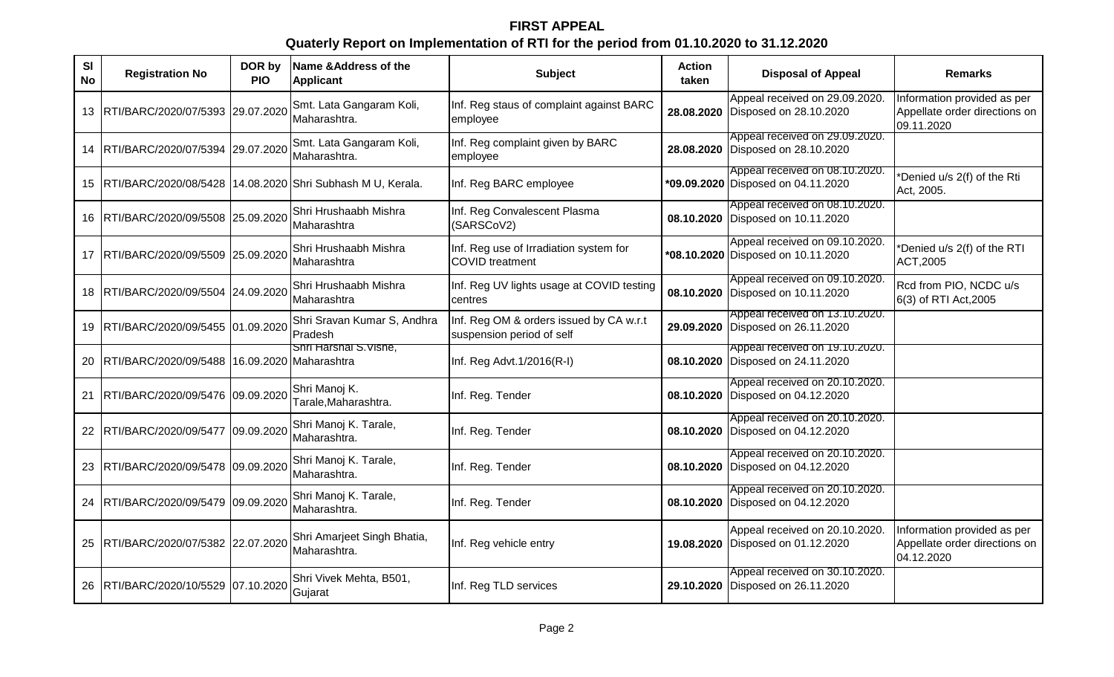# **FIRST APPEAL Quaterly Report on Implementation of RTI for the period from 01.10.2020 to 31.12.2020**

| <b>SI</b><br><b>No</b> | <b>Registration No</b>                       | DOR by<br><b>PIO</b> | Name & Address of the<br><b>Applicant</b>                  | <b>Subject</b>                                                       | <b>Action</b><br>taken | <b>Disposal of Appeal</b>                                            | <b>Remarks</b>                                                             |
|------------------------|----------------------------------------------|----------------------|------------------------------------------------------------|----------------------------------------------------------------------|------------------------|----------------------------------------------------------------------|----------------------------------------------------------------------------|
| 13                     | RTI/BARC/2020/07/5393 29.07.2020             |                      | Smt. Lata Gangaram Koli,<br>Maharashtra.                   | Inf. Reg staus of complaint against BARC<br>employee                 | 28.08.2020             | Appeal received on 29.09.2020.<br>Disposed on 28.10.2020             | Information provided as per<br>Appellate order directions on<br>09.11.2020 |
| 14                     | RTI/BARC/2020/07/5394 29.07.2020             |                      | Smt. Lata Gangaram Koli,<br>Maharashtra.                   | Inf. Reg complaint given by BARC<br>employee                         |                        | Appeal received on 29.09.2020.<br>28.08.2020 Disposed on 28.10.2020  |                                                                            |
| 15                     |                                              |                      | RTI/BARC/2020/08/5428 14.08.2020 Shri Subhash M U, Kerala. | Inf. Reg BARC employee                                               |                        | Appeal received on 08.10.2020.<br>*09.09.2020 Disposed on 04.11.2020 | *Denied u/s 2(f) of the Rti<br>Act, 2005.                                  |
| 16                     | RTI/BARC/2020/09/5508 25.09.2020             |                      | Shri Hrushaabh Mishra<br>Maharashtra                       | Inf. Reg Convalescent Plasma<br>(SARSCoV2)                           | 08.10.2020             | Appeal received on 08.10.2020.<br>Disposed on 10.11.2020             |                                                                            |
| 17                     | RTI/BARC/2020/09/5509 25.09.2020             |                      | Shri Hrushaabh Mishra<br>Maharashtra                       | Inf. Reg use of Irradiation system for<br><b>COVID</b> treatment     |                        | Appeal received on 09.10.2020.<br>*08.10.2020 Disposed on 10.11.2020 | *Denied u/s 2(f) of the RTI<br>ACT, 2005                                   |
| 18                     | RTI/BARC/2020/09/5504 24.09.2020             |                      | Shri Hrushaabh Mishra<br>Maharashtra                       | Inf. Reg UV lights usage at COVID testing<br>centres                 | 08.10.2020             | Appeal received on 09.10.2020.<br>Disposed on 10.11.2020             | Rcd from PIO, NCDC u/s<br>6(3) of RTI Act, 2005                            |
| 19                     | RTI/BARC/2020/09/5455 01.09.2020             |                      | Shri Sravan Kumar S, Andhra<br>Pradesh                     | Inf. Reg OM & orders issued by CA w.r.t<br>suspension period of self |                        | Appeal received on 13.10.2020.<br>29.09.2020 Disposed on 26.11.2020  |                                                                            |
| 20                     | RTI/BARC/2020/09/5488 16.09.2020 Maharashtra |                      | Shri Harshal S.Vishe,                                      | Inf. Reg Advt.1/2016(R-I)                                            |                        | Appeal received on 19.10.2020.<br>08.10.2020 Disposed on 24.11.2020  |                                                                            |
| 21                     | RTI/BARC/2020/09/5476 09.09.2020             |                      | Shri Manoj K.<br>Tarale, Maharashtra.                      | Inf. Reg. Tender                                                     | 08.10.2020             | Appeal received on 20.10.2020.<br>Disposed on 04.12.2020             |                                                                            |
| 22.                    | RTI/BARC/2020/09/5477 09.09.2020             |                      | Shri Manoj K. Tarale,<br>Maharashtra.                      | Inf. Reg. Tender                                                     |                        | Appeal received on 20.10.2020.<br>08.10.2020 Disposed on 04.12.2020  |                                                                            |
| 23                     | RTI/BARC/2020/09/5478 09.09.2020             |                      | Shri Manoj K. Tarale,<br>Maharashtra.                      | Inf. Reg. Tender                                                     | 08.10.2020             | Appeal received on 20.10.2020.<br>Disposed on 04.12.2020             |                                                                            |
| 24                     | RTI/BARC/2020/09/5479 09.09.2020             |                      | Shri Manoj K. Tarale,<br>Maharashtra.                      | Inf. Reg. Tender                                                     |                        | Appeal received on 20.10.2020.<br>08.10.2020 Disposed on 04.12.2020  |                                                                            |
| 25                     | RTI/BARC/2020/07/5382 22.07.2020             |                      | Shri Amarjeet Singh Bhatia,<br>Maharashtra.                | Inf. Reg vehicle entry                                               | 19.08.2020             | Appeal received on 20.10.2020.<br>Disposed on 01.12.2020             | Information provided as per<br>Appellate order directions on<br>04.12.2020 |
| 26                     | RTI/BARC/2020/10/5529 07.10.2020             |                      | Shri Vivek Mehta, B501,<br>Gujarat                         | Inf. Reg TLD services                                                | 29.10.2020             | Appeal received on 30.10.2020.<br>Disposed on 26.11.2020             |                                                                            |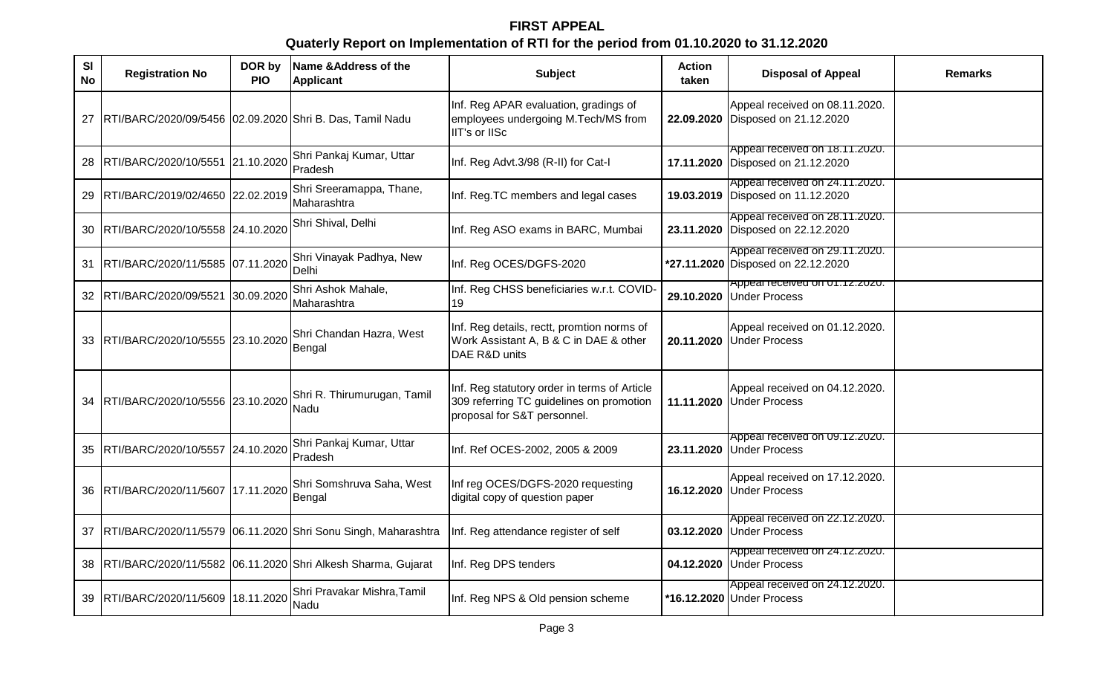# **FIRST APPEAL Quaterly Report on Implementation of RTI for the period from 01.10.2020 to 31.12.2020**

| SI<br><b>No</b> | <b>Registration No</b>                                   | DOR by<br><b>PIO</b> | Name & Address of the<br><b>Applicant</b>                     | <b>Subject</b>                                                                                                          | <b>Action</b><br>taken | <b>Disposal of Appeal</b>                                            | <b>Remarks</b> |
|-----------------|----------------------------------------------------------|----------------------|---------------------------------------------------------------|-------------------------------------------------------------------------------------------------------------------------|------------------------|----------------------------------------------------------------------|----------------|
| 27              | RTI/BARC/2020/09/5456 02.09.2020 Shri B. Das, Tamil Nadu |                      |                                                               | Inf. Reg APAR evaluation, gradings of<br>employees undergoing M.Tech/MS from<br>IIT's or IISc                           |                        | Appeal received on 08.11.2020.<br>22.09.2020 Disposed on 21.12.2020  |                |
| 28              | RTI/BARC/2020/10/5551 21.10.2020                         |                      | Shri Pankaj Kumar, Uttar<br>Pradesh                           | Inf. Reg Advt.3/98 (R-II) for Cat-I                                                                                     |                        | Appeal received on 18.11.2020.<br>17.11.2020 Disposed on 21.12.2020  |                |
| 29              | RTI/BARC/2019/02/4650 22.02.2019                         |                      | Shri Sreeramappa, Thane,<br>Maharashtra                       | Inf. Reg.TC members and legal cases                                                                                     |                        | Appeal received on 24.11.2020.<br>19.03.2019 Disposed on 11.12.2020  |                |
| 30              | RTI/BARC/2020/10/5558 24.10.2020                         |                      | Shri Shival, Delhi                                            | Inf. Reg ASO exams in BARC, Mumbai                                                                                      |                        | Appeal received on 28.11.2020.<br>23.11.2020 Disposed on 22.12.2020  |                |
| 31              | RTI/BARC/2020/11/5585 07.11.2020                         |                      | Shri Vinayak Padhya, New<br>Delhi                             | Inf. Reg OCES/DGFS-2020                                                                                                 |                        | Appeal received on 29.11.2020.<br>*27.11.2020 Disposed on 22.12.2020 |                |
| 32              | RTI/BARC/2020/09/5521                                    | 30.09.2020           | Shri Ashok Mahale,<br>Maharashtra                             | Inf. Reg CHSS beneficiaries w.r.t. COVID-<br>19                                                                         |                        | Appear received on UT.TZ.ZUZU.<br>29.10.2020 Under Process           |                |
| 33              | RTI/BARC/2020/10/5555 23.10.2020                         |                      | Shri Chandan Hazra, West<br>Bengal                            | Inf. Reg details, rectt, promtion norms of<br>Work Assistant A, B & C in DAE & other<br>DAE R&D units                   |                        | Appeal received on 01.12.2020.<br>20.11.2020 Under Process           |                |
| 34              | RTI/BARC/2020/10/5556 23.10.2020                         |                      | Shri R. Thirumurugan, Tamil<br>Nadu                           | Inf. Reg statutory order in terms of Article<br>309 referring TC guidelines on promotion<br>proposal for S&T personnel. |                        | Appeal received on 04.12.2020.<br>11.11.2020 Under Process           |                |
| 35              | RTI/BARC/2020/10/5557 24.10.2020                         |                      | Shri Pankaj Kumar, Uttar<br>Pradesh                           | Inf. Ref OCES-2002, 2005 & 2009                                                                                         |                        | Appeal received on 09.12.2020.<br>23.11.2020 Under Process           |                |
| 36              | RTI/BARC/2020/11/5607 17.11.2020                         |                      | Shri Somshruva Saha, West<br>Bengal                           | Inf reg OCES/DGFS-2020 requesting<br>digital copy of question paper                                                     | 16.12.2020             | Appeal received on 17.12.2020.<br><b>Under Process</b>               |                |
| 37              |                                                          |                      | RTI/BARC/2020/11/5579 06.11.2020 Shri Sonu Singh, Maharashtra | Inf. Reg attendance register of self                                                                                    |                        | Appeal received on 22.12.2020.<br>03.12.2020 Under Process           |                |
| 38              |                                                          |                      | RTI/BARC/2020/11/5582 06.11.2020 Shri Alkesh Sharma, Gujarat  | Inf. Reg DPS tenders                                                                                                    |                        | Appeal received on 24.12.2020.<br>04.12.2020 Under Process           |                |
| 39              | RTI/BARC/2020/11/5609 18.11.2020                         |                      | Shri Pravakar Mishra, Tamil<br>Nadu                           | Inf. Reg NPS & Old pension scheme                                                                                       |                        | Appeal received on 24.12.2020.<br>*16.12.2020 Under Process          |                |